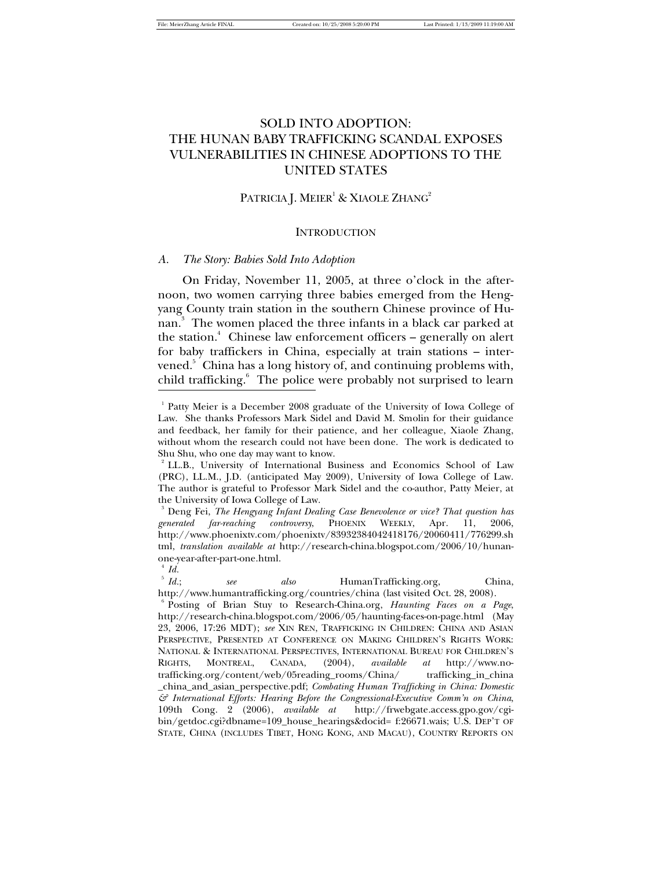# SOLD INTO ADOPTION: THE HUNAN BABY TRAFFICKING SCANDAL EXPOSES VULNERABILITIES IN CHINESE ADOPTIONS TO THE UNITED STATES

# PATRICIA J. MEIER<sup>1</sup> & XIAOLE ZHANG<sup>2</sup>

### **INTRODUCTION**

### *A. The Story: Babies Sold Into Adoption*

On Friday, November 11, 2005, at three o'clock in the afternoon, two women carrying three babies emerged from the Hengyang County train station in the southern Chinese province of Hunan. 3 The women placed the three infants in a black car parked at the station.<sup>4</sup> Chinese law enforcement officers – generally on alert for baby traffickers in China, especially at train stations – intervened.<sup>5</sup> China has a long history of, and continuing problems with, child trafficking.<sup>6</sup> The police were probably not surprised to learn -

<sup>&</sup>lt;sup>1</sup> Patty Meier is a December 2008 graduate of the University of Iowa College of Law. She thanks Professors Mark Sidel and David M. Smolin for their guidance and feedback, her family for their patience, and her colleague, Xiaole Zhang, without whom the research could not have been done. The work is dedicated to Shu Shu, who one day may want to know.

<sup>&</sup>lt;sup>2</sup> LL.B., University of International Business and Economics School of Law (PRC), LL.M., J.D. (anticipated May 2009), University of Iowa College of Law. The author is grateful to Professor Mark Sidel and the co-author, Patty Meier, at the University of Iowa College of Law.

<sup>3</sup> Deng Fei, *The Hengyang Infant Dealing Case Benevolence or vice? That question has generated far-reaching controversy*, PHOENIX WEEKLY, Apr. 11, 2006, http://www.phoenixtv.com/phoenixtv/83932384042418176/20060411/776299.sh tml, *translation available at* http://research-china.blogspot.com/2006/10/hunanone-year-after-part-one.html.

 $^4$  *Id.* 

 $5\;Id.$ ;  *Id.*; *see also* HumanTrafficking.org, China, http://www.humantrafficking.org/countries/china (last visited Oct. 28, 2008).

<sup>6</sup> Posting of Brian Stuy to Research-China.org, *Haunting Faces on a Page*, http://research-china.blogspot.com/2006/05/haunting-faces-on-page.html (May 23, 2006, 17:26 MDT); *see* XIN REN, TRAFFICKING IN CHILDREN: CHINA AND ASIAN PERSPECTIVE, PRESENTED AT CONFERENCE ON MAKING CHILDREN'S RIGHTS WORK: NATIONAL & INTERNATIONAL PERSPECTIVES, INTERNATIONAL BUREAU FOR CHILDREN'S RIGHTS, MONTREAL, CANADA, (2004), *available at* http://www.notrafficking.org/content/web/05reading\_rooms/China/ trafficking\_in\_china \_china\_and\_asian\_perspective.pdf; *Combating Human Trafficking in China: Domestic & International Efforts: Hearing Before the Congressional-Executive Comm'n on China*, 109th Cong. 2 (2006), *available at* http://frwebgate.access.gpo.gov/cgibin/getdoc.cgi?dbname=109\_house\_hearings&docid= f:26671.wais; U.S. DEP'T OF STATE, CHINA (INCLUDES TIBET, HONG KONG, AND MACAU), COUNTRY REPORTS ON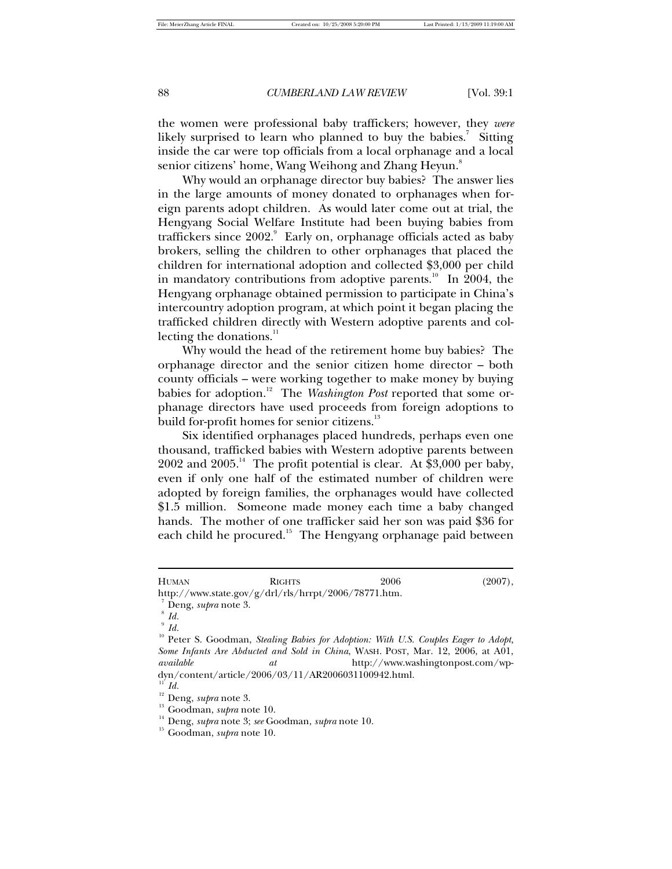the women were professional baby traffickers; however, they *were* likely surprised to learn who planned to buy the babies.<sup>7</sup> Sitting inside the car were top officials from a local orphanage and a local senior citizens' home, Wang Weihong and Zhang Heyun. $^8$ 

Why would an orphanage director buy babies? The answer lies in the large amounts of money donated to orphanages when foreign parents adopt children. As would later come out at trial, the Hengyang Social Welfare Institute had been buying babies from traffickers since  $2002.°$  Early on, orphanage officials acted as baby brokers, selling the children to other orphanages that placed the children for international adoption and collected \$3,000 per child in mandatory contributions from adoptive parents.<sup>10</sup> In 2004, the Hengyang orphanage obtained permission to participate in China's intercountry adoption program, at which point it began placing the trafficked children directly with Western adoptive parents and collecting the donations. $11$ 

Why would the head of the retirement home buy babies? The orphanage director and the senior citizen home director – both county officials – were working together to make money by buying babies for adoption.<sup>12</sup> The *Washington Post* reported that some orphanage directors have used proceeds from foreign adoptions to build for-profit homes for senior citizens.<sup>13</sup>

Six identified orphanages placed hundreds, perhaps even one thousand, trafficked babies with Western adoptive parents between  $2002$  and  $2005<sup>14</sup>$ . The profit potential is clear. At \$3,000 per baby, even if only one half of the estimated number of children were adopted by foreign families, the orphanages would have collected \$1.5 million. Someone made money each time a baby changed hands. The mother of one trafficker said her son was paid \$36 for each child he procured.<sup>15</sup> The Hengyang orphanage paid between

 $\overline{a}$ 

HUMAN RIGHTS 2006 (2007), http://www.state.gov/g/drl/rls/hrrpt/2006/78771.htm. 7 Deng, *supra* note 3.

<sup>8</sup>  *Id.*

<sup>9</sup>  *Id.*

<sup>&</sup>lt;sup>10</sup> Peter S. Goodman, *Stealing Babies for Adoption: With U.S. Couples Eager to Adopt, Some Infants Are Abducted and Sold in China*, WASH. POST, Mar. 12, 2006, at A01, *available at* http://www.washingtonpost.com/wpdyn/content/article/2006/03/11/AR2006031100942.html.

 $\overline{11}$  *Id.* 

<sup>12</sup> Deng, *supra* note 3.

<sup>13</sup> Goodman, *supra* note 10.

<sup>14</sup> Deng, *supra* note 3; *see* Goodman, *supra* note 10.

<sup>15</sup> Goodman, *supra* note 10.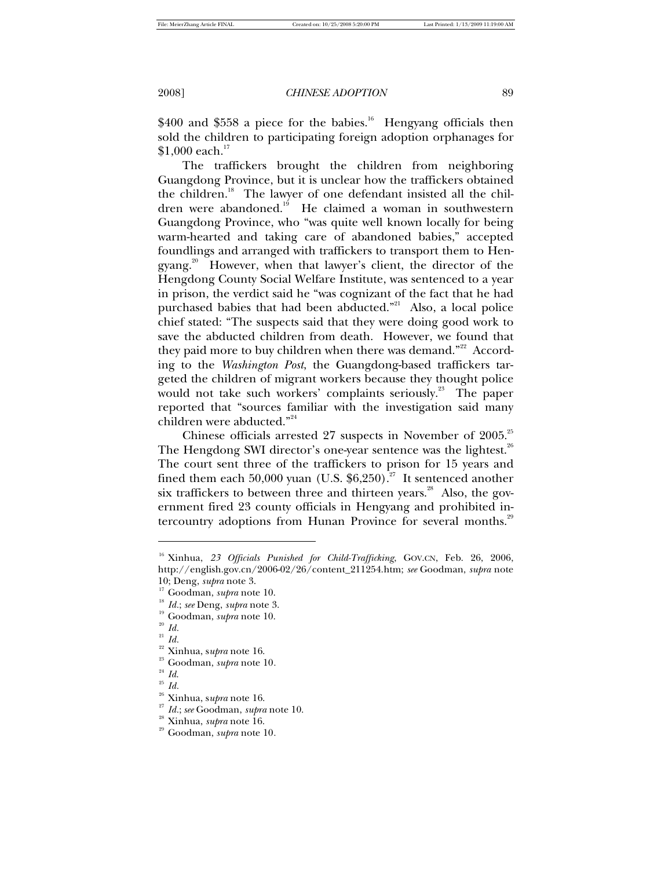$$400$  and \$558 a piece for the babies.<sup>16</sup> Hengyang officials then sold the children to participating foreign adoption orphanages for  $$1,000$  each. $^{17}$ 

The traffickers brought the children from neighboring Guangdong Province, but it is unclear how the traffickers obtained the children.<sup>18</sup> The lawyer of one defendant insisted all the children were abandoned.<sup>19</sup> He claimed a woman in southwestern Guangdong Province, who "was quite well known locally for being warm-hearted and taking care of abandoned babies," accepted foundlings and arranged with traffickers to transport them to Hengyang.<sup>20</sup> However, when that lawyer's client, the director of the Hengdong County Social Welfare Institute, was sentenced to a year in prison, the verdict said he "was cognizant of the fact that he had purchased babies that had been abducted."<sup>21</sup> Also, a local police chief stated: "The suspects said that they were doing good work to save the abducted children from death. However, we found that they paid more to buy children when there was demand."<sup>22</sup> According to the *Washington Post*, the Guangdong-based traffickers targeted the children of migrant workers because they thought police would not take such workers' complaints seriously.<sup>23</sup> The paper reported that "sources familiar with the investigation said many children were abducted."<sup>24</sup>

Chinese officials arrested 27 suspects in November of  $2005.^{25}$ The Hengdong SWI director's one-year sentence was the lightest. $^{26}$ The court sent three of the traffickers to prison for 15 years and fined them each 50,000 yuan (U.S.  $$6,250$ ).<sup>27</sup> It sentenced another six traffickers to between three and thirteen years. $^{28}$  Also, the government fired 23 county officials in Hengyang and prohibited intercountry adoptions from Hunan Province for several months.<sup>29</sup>

<sup>&</sup>lt;sup>16</sup> Xinhua, 23 Officials Punished for Child-Trafficking, GOV.CN, Feb. 26, 2006, http://english.gov.cn/2006-02/26/content\_211254.htm; *see* Goodman, *supra* note 10; Deng, *supra* note 3.

<sup>17</sup> Goodman, *supra* note 10.

<sup>18</sup> *Id.*; *see* Deng, *supra* note 3.

<sup>19</sup> Goodman, *supra* note 10.

<sup>20</sup> *Id.*

<sup>21</sup> *Id.*

 $\frac{22}{23}$  Xinhua, supra note 16.

 $\frac{^{23}}{^{24}}$  Goodman, *supra* note 10.

<sup>24</sup> *Id*.

<sup>25</sup> *Id.*

 $\frac{26}{27}$  Xinhua, supra note 16.

<sup>27</sup> *Id.*; *see* Goodman, *supra* note 10.

<sup>28</sup> Xinhua, *supra* note 16.

<sup>29</sup> Goodman, *supra* note 10*.*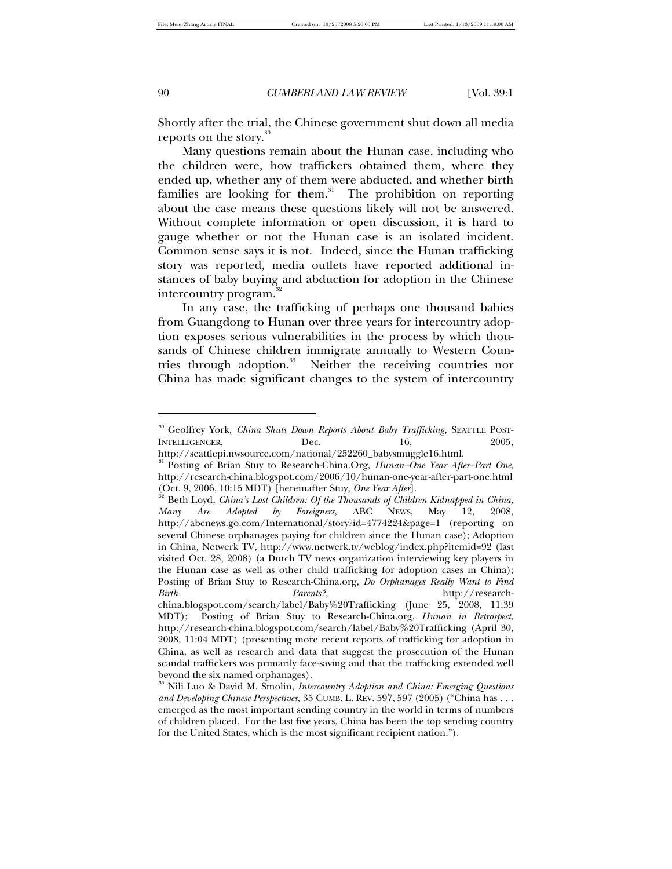-

90 *CUMBERLAND LAW REVIEW* [Vol. 39:1

Shortly after the trial, the Chinese government shut down all media reports on the story.<sup>30</sup>

Many questions remain about the Hunan case, including who the children were, how traffickers obtained them, where they ended up, whether any of them were abducted, and whether birth families are looking for them.<sup>31</sup> The prohibition on reporting about the case means these questions likely will not be answered. Without complete information or open discussion, it is hard to gauge whether or not the Hunan case is an isolated incident. Common sense says it is not. Indeed, since the Hunan trafficking story was reported, media outlets have reported additional instances of baby buying and abduction for adoption in the Chinese intercountry program.<sup>32</sup>

In any case, the trafficking of perhaps one thousand babies from Guangdong to Hunan over three years for intercountry adoption exposes serious vulnerabilities in the process by which thousands of Chinese children immigrate annually to Western Countries through adoption.<sup>33</sup> Neither the receiving countries nor China has made significant changes to the system of intercountry

<sup>30</sup> Geoffrey York, *China Shuts Down Reports About Baby Trafficking*, SEATTLE POST-INTELLIGENCER, Dec. 16, 2005,

http://seattlepi.nwsource.com/national/252260\_babysmuggle16.html.

<sup>31</sup> Posting of Brian Stuy to Research-China.Org, *Hunan–One Year After–Part One*, http://research-china.blogspot.com/2006/10/hunan-one-year-after-part-one.html (Oct. 9, 2006, 10:15 MDT) [hereinafter Stuy, *One Year After*].

<sup>&</sup>lt;sup>2</sup> Beth Loyd, *China's Lost Children: Of the Thousands of Children Kidnapped in China, Many Are Adopted by Foreigners*, ABC NEWS, May 12, 2008, http://abcnews.go.com/International/story?id=4774224&page=1 (reporting on several Chinese orphanages paying for children since the Hunan case); Adoption in China, Netwerk TV, http://www.netwerk.tv/weblog/index.php?itemid=92 (last visited Oct. 28, 2008) (a Dutch TV news organization interviewing key players in the Hunan case as well as other child trafficking for adoption cases in China); Posting of Brian Stuy to Research-China.org, *Do Orphanages Really Want to Find Birth Parents*?, http://researchchina.blogspot.com/search/label/Baby%20Trafficking (June 25, 2008, 11:39 MDT); Posting of Brian Stuy to Research-China.org, *Hunan in Retrospect*, http://research-china.blogspot.com/search/label/Baby%20Trafficking (April 30, 2008, 11:04 MDT) (presenting more recent reports of trafficking for adoption in China, as well as research and data that suggest the prosecution of the Hunan scandal traffickers was primarily face-saving and that the trafficking extended well beyond the six named orphanages).

<sup>33</sup> Nili Luo & David M. Smolin, *Intercountry Adoption and China: Emerging Questions and Developing Chinese Perspectives*, 35 CUMB. L. REV. 597, 597 (2005) ("China has . . . emerged as the most important sending country in the world in terms of numbers of children placed. For the last five years, China has been the top sending country for the United States, which is the most significant recipient nation.").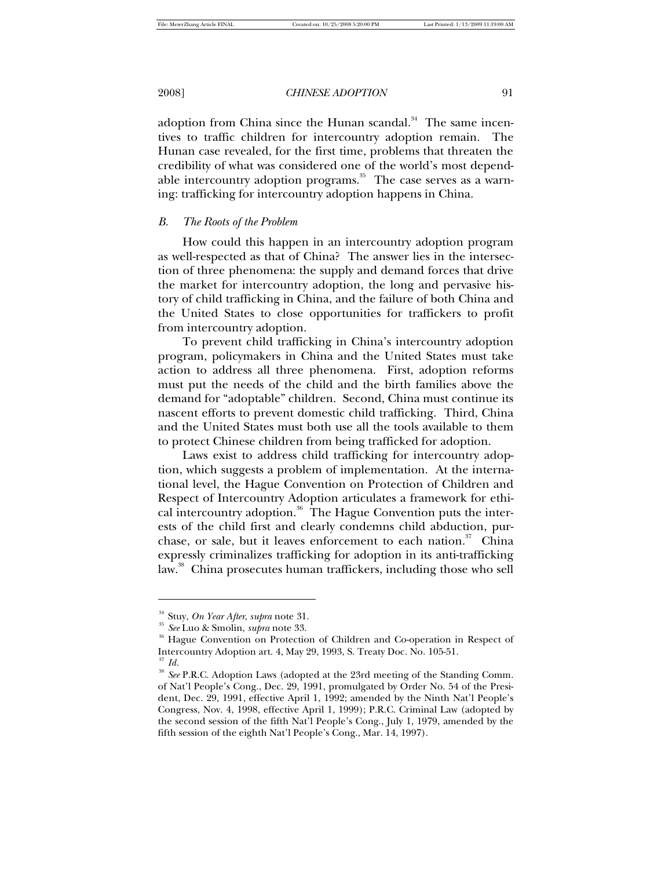adoption from China since the Hunan scandal.<sup>34</sup> The same incentives to traffic children for intercountry adoption remain. The Hunan case revealed, for the first time, problems that threaten the credibility of what was considered one of the world's most dependable intercountry adoption programs.<sup>35</sup> The case serves as a warning: trafficking for intercountry adoption happens in China.

# *B. The Roots of the Problem*

How could this happen in an intercountry adoption program as well-respected as that of China? The answer lies in the intersection of three phenomena: the supply and demand forces that drive the market for intercountry adoption, the long and pervasive history of child trafficking in China, and the failure of both China and the United States to close opportunities for traffickers to profit from intercountry adoption.

To prevent child trafficking in China's intercountry adoption program, policymakers in China and the United States must take action to address all three phenomena. First, adoption reforms must put the needs of the child and the birth families above the demand for "adoptable" children. Second, China must continue its nascent efforts to prevent domestic child trafficking. Third, China and the United States must both use all the tools available to them to protect Chinese children from being trafficked for adoption.

Laws exist to address child trafficking for intercountry adoption, which suggests a problem of implementation. At the international level, the Hague Convention on Protection of Children and Respect of Intercountry Adoption articulates a framework for ethical intercountry adoption. $36$  The Hague Convention puts the interests of the child first and clearly condemns child abduction, purchase, or sale, but it leaves enforcement to each nation. $37$  China expressly criminalizes trafficking for adoption in its anti-trafficking law.<sup>38</sup> China prosecutes human traffickers, including those who sell

<sup>34</sup> Stuy, *On Year After*, *supra* note 31.

<sup>35</sup> *See* Luo & Smolin, *supra* note 33.

<sup>36</sup> Hague Convention on Protection of Children and Co-operation in Respect of Intercountry Adoption art. 4, May 29, 1993, S. Treaty Doc. No. 105-51.

<sup>37</sup> *Id.*

<sup>&</sup>lt;sup>38</sup> See P.R.C. Adoption Laws (adopted at the 23rd meeting of the Standing Comm. of Nat'l People's Cong., Dec. 29, 1991, promulgated by Order No. 54 of the President, Dec. 29, 1991, effective April 1, 1992; amended by the Ninth Nat'l People's Congress, Nov. 4, 1998, effective April 1, 1999); P.R.C. Criminal Law (adopted by the second session of the fifth Nat'l People's Cong., July 1, 1979, amended by the fifth session of the eighth Nat'l People's Cong., Mar. 14, 1997).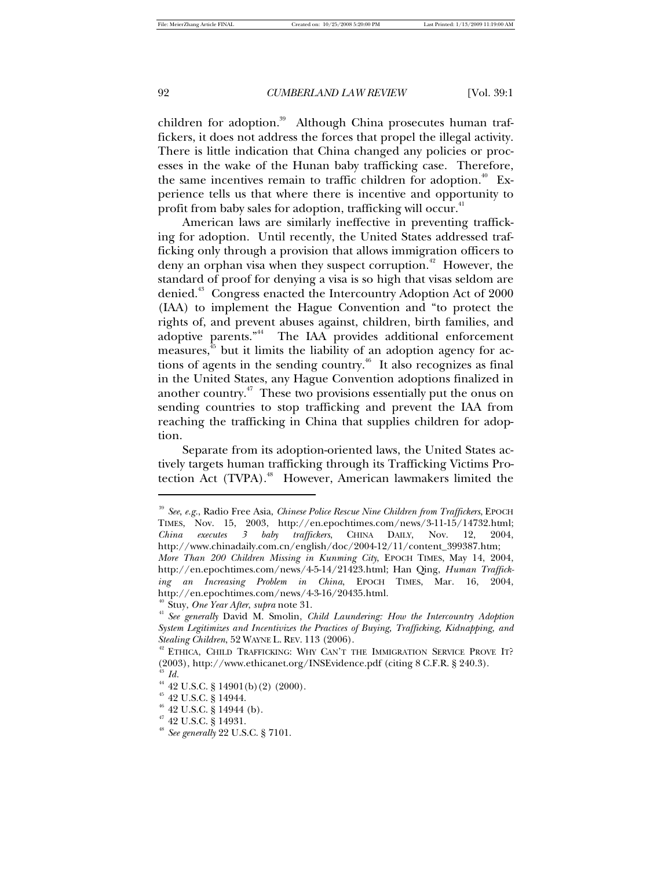children for adoption.<sup>39</sup> Although China prosecutes human traffickers, it does not address the forces that propel the illegal activity. There is little indication that China changed any policies or processes in the wake of the Hunan baby trafficking case. Therefore, the same incentives remain to traffic children for adoption.<sup>40</sup> Experience tells us that where there is incentive and opportunity to profit from baby sales for adoption, trafficking will occur.<sup>41</sup>

American laws are similarly ineffective in preventing trafficking for adoption. Until recently, the United States addressed trafficking only through a provision that allows immigration officers to deny an orphan visa when they suspect corruption.<sup> $42$ </sup> However, the standard of proof for denying a visa is so high that visas seldom are denied.<sup>43</sup> Congress enacted the Intercountry Adoption Act of 2000 (IAA) to implement the Hague Convention and "to protect the rights of, and prevent abuses against, children, birth families, and adoptive parents."<sup>44</sup> The IAA provides additional enforcement measures, <sup>45</sup> but it limits the liability of an adoption agency for actions of agents in the sending country.<sup>46</sup> It also recognizes as final in the United States, any Hague Convention adoptions finalized in another country.<sup> $47$ </sup> These two provisions essentially put the onus on sending countries to stop trafficking and prevent the IAA from reaching the trafficking in China that supplies children for adoption.

Separate from its adoption-oriented laws, the United States actively targets human trafficking through its Trafficking Victims Protection Act (TVPA).<sup>48</sup> However, American lawmakers limited the

<sup>39</sup> *See*, *e.g.*, Radio Free Asia, *Chinese Police Rescue Nine Children from Traffickers*, EPOCH TIMES, Nov. 15, 2003, http://en.epochtimes.com/news/3-11-15/14732.html; *China executes 3 baby traffickers*, CHINA DAILY, Nov. 12, 2004, http://www.chinadaily.com.cn/english/doc/2004-12/11/content\_399387.htm;

*More Than 200 Children Missing in Kunming City*, EPOCH TIMES, May 14, 2004, http://en.epochtimes.com/news/4-5-14/21423.html; Han Qing, *Human Trafficking an Increasing Problem in China*, EPOCH TIMES, Mar. 16, 2004, http://en.epochtimes.com/news/4-3-16/20435.html.

<sup>40</sup> Stuy, *One Year After*, *supra* note 31.

<sup>41</sup> *See generally* David M. Smolin, *Child Laundering: How the Intercountry Adoption System Legitimizes and Incentivizes the Practices of Buying, Trafficking, Kidnapping, and Stealing Children*, 52 WAYNE L. REV. 113 (2006).

<sup>&</sup>lt;sup>42</sup> ETHICA, CHILD TRAFFICKING: WHY CAN'T THE IMMIGRATION SERVICE PROVE IT? (2003), http://www.ethicanet.org/INSEvidence.pdf (citing 8 C.F.R. § 240.3). <sup>43</sup> *Id.*

<sup>&</sup>lt;sup>44</sup> 42 U.S.C. § 14901(b)(2) (2000).

<sup>45</sup> 42 U.S.C. § 14944.

<sup>&</sup>lt;sup>46</sup> 42 U.S.C. § 14944 (b).

<sup>47</sup> 42 U.S.C. § 14931.

<sup>48</sup> *See generally* 22 U.S.C. § 7101.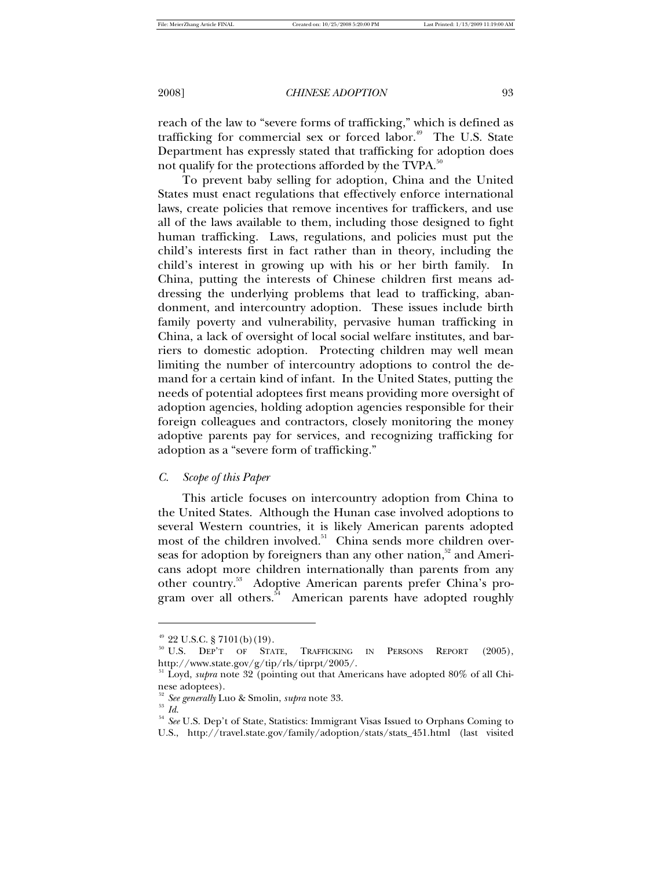reach of the law to "severe forms of trafficking," which is defined as trafficking for commercial sex or forced labor.<sup>49</sup> The U.S. State Department has expressly stated that trafficking for adoption does not qualify for the protections afforded by the TVPA.<sup>50</sup>

To prevent baby selling for adoption, China and the United States must enact regulations that effectively enforce international laws, create policies that remove incentives for traffickers, and use all of the laws available to them, including those designed to fight human trafficking. Laws, regulations, and policies must put the child's interests first in fact rather than in theory, including the child's interest in growing up with his or her birth family. In China, putting the interests of Chinese children first means addressing the underlying problems that lead to trafficking, abandonment, and intercountry adoption. These issues include birth family poverty and vulnerability, pervasive human trafficking in China, a lack of oversight of local social welfare institutes, and barriers to domestic adoption. Protecting children may well mean limiting the number of intercountry adoptions to control the demand for a certain kind of infant. In the United States, putting the needs of potential adoptees first means providing more oversight of adoption agencies, holding adoption agencies responsible for their foreign colleagues and contractors, closely monitoring the money adoptive parents pay for services, and recognizing trafficking for adoption as a "severe form of trafficking."

# *C. Scope of this Paper*

This article focuses on intercountry adoption from China to the United States. Although the Hunan case involved adoptions to several Western countries, it is likely American parents adopted most of the children involved.<sup>51</sup> China sends more children overseas for adoption by foreigners than any other nation,<sup>52</sup> and Americans adopt more children internationally than parents from any other country.<sup>53</sup> Adoptive American parents prefer China's program over all others.<sup>54</sup> American parents have adopted roughly

 $49$  22 U.S.C. § 7101(b)(19).

<sup>&</sup>lt;sup>50</sup> U.S. DEP'T OF STATE, TRAFFICKING IN PERSONS REPORT (2005), http://www.state.gov/g/tip/rls/tiprpt/2005/.

<sup>51</sup> Loyd, *supra* note 32 (pointing out that Americans have adopted 80% of all Chinese adoptees).

<sup>52</sup> *See generally* Luo & Smolin, *supra* note 33.

<sup>53</sup> *Id*.

<sup>54</sup> *See* U.S. Dep't of State, Statistics: Immigrant Visas Issued to Orphans Coming to U.S., http://travel.state.gov/family/adoption/stats/stats\_451.html (last visited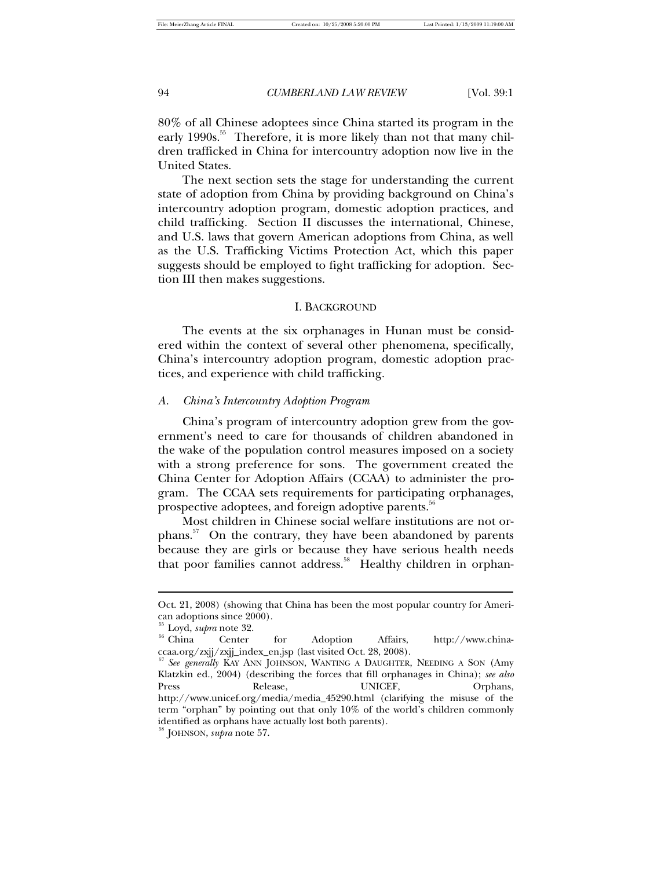80% of all Chinese adoptees since China started its program in the early 1990s.<sup>55</sup> Therefore, it is more likely than not that many children trafficked in China for intercountry adoption now live in the United States.

The next section sets the stage for understanding the current state of adoption from China by providing background on China's intercountry adoption program, domestic adoption practices, and child trafficking. Section II discusses the international, Chinese, and U.S. laws that govern American adoptions from China, as well as the U.S. Trafficking Victims Protection Act, which this paper suggests should be employed to fight trafficking for adoption. Section III then makes suggestions.

### I. BACKGROUND

The events at the six orphanages in Hunan must be considered within the context of several other phenomena, specifically, China's intercountry adoption program, domestic adoption practices, and experience with child trafficking.

### *A. China's Intercountry Adoption Program*

China's program of intercountry adoption grew from the government's need to care for thousands of children abandoned in the wake of the population control measures imposed on a society with a strong preference for sons. The government created the China Center for Adoption Affairs (CCAA) to administer the program. The CCAA sets requirements for participating orphanages, prospective adoptees, and foreign adoptive parents.<sup>56</sup>

Most children in Chinese social welfare institutions are not orphans.<sup>57</sup> On the contrary, they have been abandoned by parents because they are girls or because they have serious health needs that poor families cannot address.<sup>58</sup> Healthy children in orphan-

 $\overline{a}$ 

Oct. 21, 2008) (showing that China has been the most popular country for American adoptions since 2000).

<sup>&</sup>lt;sup>55</sup> Loyd, *supra* note 32.<br><sup>56</sup> China Center Center for Adoption Affairs, http://www.chinaccaa.org/zxjj/zxjj\_index\_en.jsp (last visited Oct. 28, 2008).

<sup>57</sup> *See generally* KAY ANN JOHNSON, WANTING A DAUGHTER, NEEDING A SON (Amy Klatzkin ed., 2004) (describing the forces that fill orphanages in China); *see also*  Press Release, UNICEF, Orphans, http://www.unicef.org/media/media\_45290.html (clarifying the misuse of the term "orphan" by pointing out that only 10% of the world's children commonly identified as orphans have actually lost both parents).

<sup>58</sup> JOHNSON, *supra* note 57.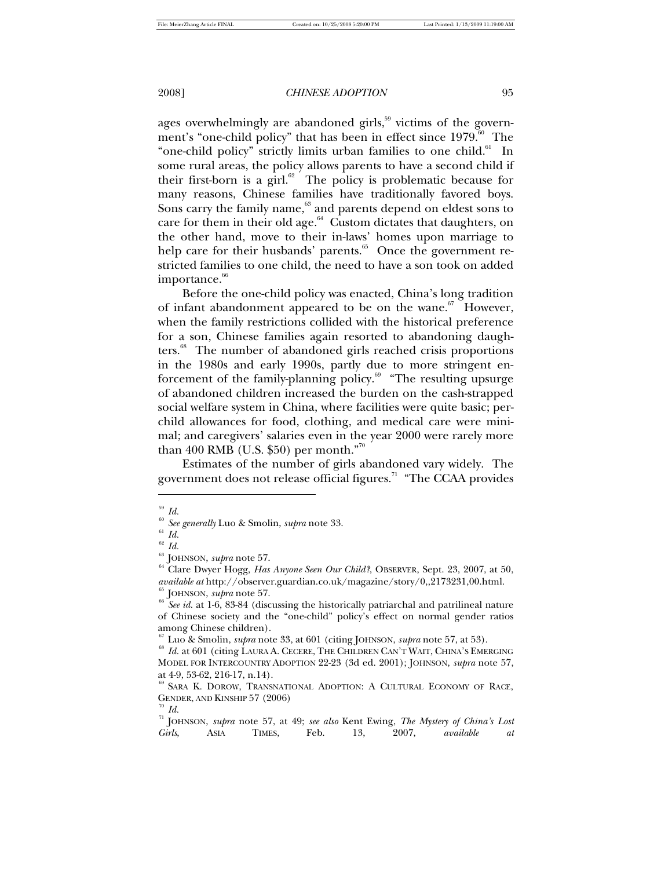ages overwhelmingly are abandoned girls, $59$  victims of the government's "one-child policy" that has been in effect since  $1979$ .<sup>60</sup> The "one-child policy" strictly limits urban families to one child.<sup>61</sup> In some rural areas, the policy allows parents to have a second child if their first-born is a girl. $62$  The policy is problematic because for many reasons, Chinese families have traditionally favored boys. Sons carry the family name,<sup>63</sup> and parents depend on eldest sons to care for them in their old age. $64$  Custom dictates that daughters, on the other hand, move to their in-laws' homes upon marriage to help care for their husbands' parents.<sup>65</sup> Once the government restricted families to one child, the need to have a son took on added importance.<sup>66</sup>

Before the one-child policy was enacted, China's long tradition of infant abandonment appeared to be on the wane.<sup>67</sup> However, when the family restrictions collided with the historical preference for a son, Chinese families again resorted to abandoning daughters.<sup>68</sup> The number of abandoned girls reached crisis proportions in the 1980s and early 1990s, partly due to more stringent enforcement of the family-planning policy.<sup>69</sup> "The resulting upsurge of abandoned children increased the burden on the cash-strapped social welfare system in China, where facilities were quite basic; perchild allowances for food, clothing, and medical care were minimal; and caregivers' salaries even in the year 2000 were rarely more than 400 RMB (U.S. \$50) per month."<sup>70</sup>

Estimates of the number of girls abandoned vary widely. The government does not release official figures.<sup>71</sup> "The CCAA provides"

 $\int_{60}^{59}$  *Id.* 

<sup>60</sup> *See generally* Luo & Smolin, *supra* note 33.

 $^{61}$   $\emph{Id.}$ 

 $\int_{63}^{62} Id.$ 

 $^{63}$  JOHNSON, *supra* note 57.

<sup>64</sup> Clare Dwyer Hogg, *Has Anyone Seen Our Child?*, OBSERVER, Sept. 23, 2007, at 50, *available at* http://observer.guardian.co.uk/magazine/story/0,,2173231,00.html. <sup>65</sup> JOHNSON, *supra* note 57.

<sup>&</sup>lt;sup>66</sup> See id. at 1-6, 83-84 (discussing the historically patriarchal and patrilineal nature of Chinese society and the "one-child" policy's effect on normal gender ratios among Chinese children).

<sup>67</sup> Luo & Smolin, *supra* note 33, at 601 (citing JOHNSON, *supra* note 57, at 53).

<sup>68</sup> *Id.* at 601 (citing LAURA A. CECERE, THE CHILDREN CAN'T WAIT, CHINA'S EMERGING MODEL FOR INTERCOUNTRY ADOPTION 22-23 (3d ed. 2001); JOHNSON, *supra* note 57, at 4-9, 53-62, 216-17, n.14).

<sup>&</sup>lt;sup>69</sup> SARA K. DOROW, TRANSNATIONAL ADOPTION: A CULTURAL ECONOMY OF RACE, GENDER, AND KINSHIP 57 (2006)  $\int d$ .

<sup>71</sup> JOHNSON, *supra* note 57, at 49; *see also* Kent Ewing, *The Mystery of China's Lost Girls*, ASIA TIMES, Feb. 13, 2007, *available at*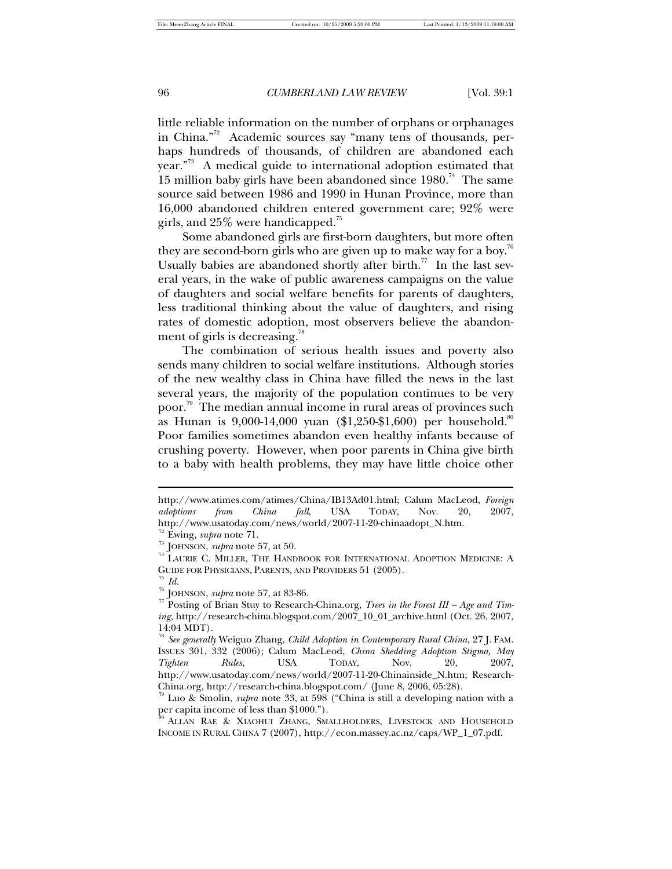little reliable information on the number of orphans or orphanages in China."<sup>72</sup> Academic sources say "many tens of thousands, perhaps hundreds of thousands, of children are abandoned each year."<sup>73</sup> A medical guide to international adoption estimated that 15 million baby girls have been abandoned since  $1980.^{74}$  The same source said between 1986 and 1990 in Hunan Province, more than 16,000 abandoned children entered government care; 92% were girls, and 25% were handicapped.<sup>75</sup>

Some abandoned girls are first-born daughters, but more often they are second-born girls who are given up to make way for a boy.<sup>76</sup> Usually babies are abandoned shortly after birth.<sup>77</sup> In the last several years, in the wake of public awareness campaigns on the value of daughters and social welfare benefits for parents of daughters, less traditional thinking about the value of daughters, and rising rates of domestic adoption, most observers believe the abandonment of girls is decreasing.<sup>78</sup>

The combination of serious health issues and poverty also sends many children to social welfare institutions. Although stories of the new wealthy class in China have filled the news in the last several years, the majority of the population continues to be very poor. <sup>79</sup> The median annual income in rural areas of provinces such as Hunan is 9,000-14,000 yuan (\$1,250-\$1,600) per household. $^8$ Poor families sometimes abandon even healthy infants because of crushing poverty. However, when poor parents in China give birth to a baby with health problems, they may have little choice other

 $\int d$ .

 $\overline{\phantom{a}}$ 

http://www.atimes.com/atimes/China/IB13Ad01.html; Calum MacLeod, *Foreign adoptions from China fall*, USA TODAY, Nov. 20, 2007, http://www.usatoday.com/news/world/2007-11-20-chinaadopt\_N.htm.

<sup>72</sup> Ewing, *supra* note 71.

<sup>73</sup> JOHNSON, *supra* note 57, at 50.

<sup>&</sup>lt;sup>74</sup> LAURIE C. MILLER, THE HANDBOOK FOR INTERNATIONAL ADOPTION MEDICINE: A GUIDE FOR PHYSICIANS, PARENTS, AND PROVIDERS 51 (2005).

<sup>76</sup> JOHNSON, *supra* note 57, at 83-86.

<sup>77</sup> Posting of Brian Stuy to Research-China.org, *Trees in the Forest III – Age and Timing*, http://research-china.blogspot.com/2007\_10\_01\_archive.html (Oct. 26, 2007, 14:04 MDT).

<sup>78</sup> *See generally* Weiguo Zhang, *Child Adoption in Contemporary Rural China*, 27 J. FAM. ISSUES 301, 332 (2006); Calum MacLeod, *China Shedding Adoption Stigma, May Tighten Rules*, USA TODAY, Nov. 20, 2007, http://www.usatoday.com/news/world/2007-11-20-Chinainside\_N.htm; Research-China.org, http://research-china.blogspot.com/ (June 8, 2006, 05:28).

<sup>79</sup> Luo & Smolin, *supra* note 33, at 598 ("China is still a developing nation with a per capita income of less than \$1000.").

<sup>80</sup> ALLAN RAE & XIAOHUI ZHANG, SMALLHOLDERS, LIVESTOCK AND HOUSEHOLD INCOME IN RURAL CHINA 7 (2007), http://econ.massey.ac.nz/caps/WP\_1\_07.pdf.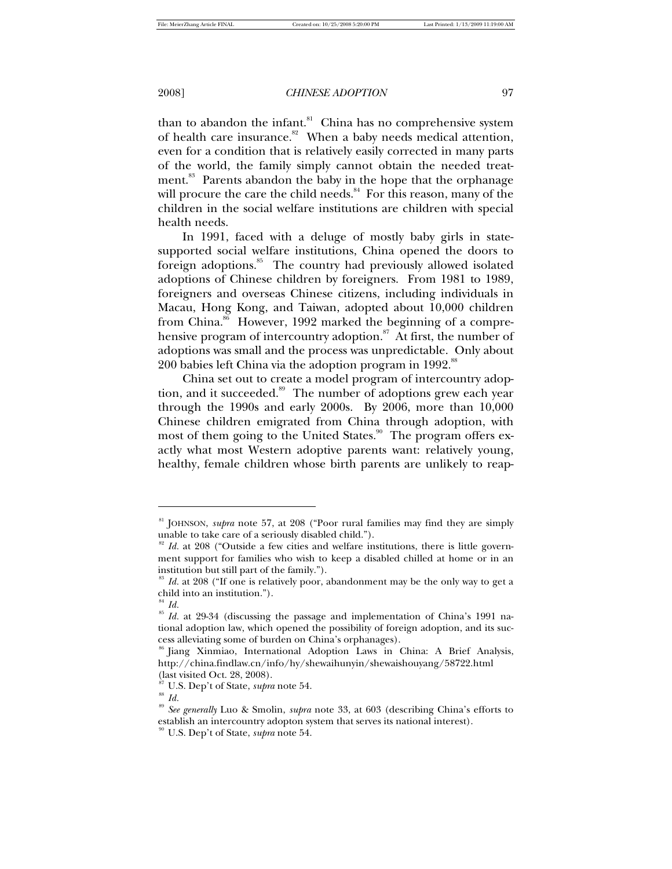than to abandon the infant. $81$  China has no comprehensive system of health care insurance. $82$  When a baby needs medical attention, even for a condition that is relatively easily corrected in many parts of the world, the family simply cannot obtain the needed treatment.<sup>83</sup> Parents abandon the baby in the hope that the orphanage will procure the care the child needs. $84$  For this reason, many of the children in the social welfare institutions are children with special health needs.

In 1991, faced with a deluge of mostly baby girls in statesupported social welfare institutions, China opened the doors to foreign adoptions.<sup>85</sup> The country had previously allowed isolated adoptions of Chinese children by foreigners. From 1981 to 1989, foreigners and overseas Chinese citizens, including individuals in Macau, Hong Kong, and Taiwan, adopted about 10,000 children from China.<sup>86</sup> However, 1992 marked the beginning of a comprehensive program of intercountry adoption.<sup>87</sup> At first, the number of adoptions was small and the process was unpredictable. Only about 200 babies left China via the adoption program in  $1992$ .<sup>81</sup>

China set out to create a model program of intercountry adoption, and it succeeded.<sup>89</sup> The number of adoptions grew each year through the 1990s and early 2000s. By 2006, more than 10,000 Chinese children emigrated from China through adoption, with most of them going to the United States.<sup>90</sup> The program offers exactly what most Western adoptive parents want: relatively young, healthy, female children whose birth parents are unlikely to reap-

1

<sup>81</sup> JOHNSON, *supra* note 57, at 208 ("Poor rural families may find they are simply unable to take care of a seriously disabled child.").

<sup>&</sup>lt;sup>82</sup> Id. at 208 ("Outside a few cities and welfare institutions, there is little government support for families who wish to keep a disabled chilled at home or in an institution but still part of the family.").

<sup>&</sup>lt;sup>83</sup> Id. at 208 ("If one is relatively poor, abandonment may be the only way to get a child into an institution.").

 $^{84}$  *Id.* 

<sup>85</sup> *Id.* at 29-34 (discussing the passage and implementation of China's 1991 national adoption law, which opened the possibility of foreign adoption, and its success alleviating some of burden on China's orphanages).

<sup>86</sup> Jiang Xinmiao, International Adoption Laws in China: A Brief Analysis, http://china.findlaw.cn/info/hy/shewaihunyin/shewaishouyang/58722.html (last visited Oct. 28, 2008).

<sup>87</sup> U.S. Dep't of State, *supra* note 54.

 $^{\rm 88}$   $Id.$ 

<sup>89</sup> *See generally* Luo & Smolin, *supra* note 33, at 603 (describing China's efforts to establish an intercountry adopton system that serves its national interest).

<sup>90</sup> U.S. Dep't of State, *supra* note 54.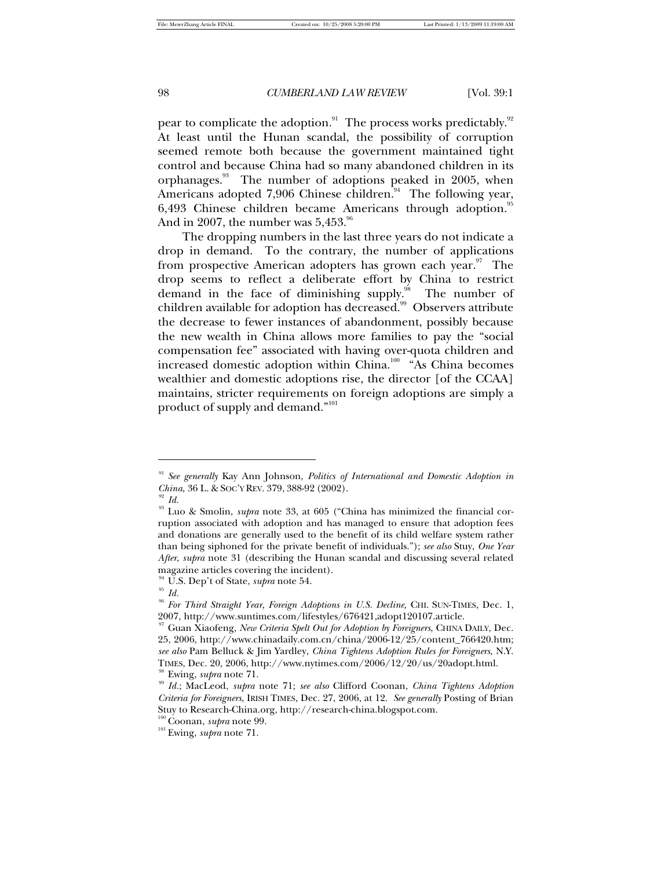pear to complicate the adoption. $91$  The process works predictably. $92$ At least until the Hunan scandal, the possibility of corruption seemed remote both because the government maintained tight control and because China had so many abandoned children in its orphanages.<sup>93</sup> The number of adoptions peaked in 2005, when Americans adopted 7,906 Chinese children. $94$  The following year, 6,493 Chinese children became Americans through adoption.<sup>95</sup> And in 2007, the number was  $5,453.^{96}$ 

The dropping numbers in the last three years do not indicate a drop in demand. To the contrary, the number of applications from prospective American adopters has grown each year.<sup>97</sup> The drop seems to reflect a deliberate effort by China to restrict demand in the face of diminishing supply.<sup>98</sup> The number of children available for adoption has decreased.<sup>99</sup> Observers attribute the decrease to fewer instances of abandonment, possibly because the new wealth in China allows more families to pay the "social compensation fee" associated with having over-quota children and increased domestic adoption within China.<sup>100</sup> "As China becomes wealthier and domestic adoptions rise, the director [of the CCAA] maintains, stricter requirements on foreign adoptions are simply a product of supply and demand." $101$ 

j

<sup>91</sup> *See generally* Kay Ann Johnson, *Politics of International and Domestic Adoption in China*, 36 L. & SOC'Y REV. 379, 388-92 (2002).

*Id.* 

<sup>&</sup>lt;sup>93</sup> Luo & Smolin, *supra* note 33, at 605 ("China has minimized the financial corruption associated with adoption and has managed to ensure that adoption fees and donations are generally used to the benefit of its child welfare system rather than being siphoned for the private benefit of individuals."); *see also* Stuy, *One Year After*, *supra* note 31 (describing the Hunan scandal and discussing several related magazine articles covering the incident).

<sup>94</sup> U.S. Dep't of State, *supra* note 54.

<sup>96</sup> *For Third Straight Year, Foreign Adoptions in U.S. Decline,* CHI. SUN-TIMES, Dec. 1, 2007, http://www.suntimes.com/lifestyles/676421,adopt120107.article.

<sup>97</sup> Guan Xiaofeng, *New Criteria Spelt Out for Adoption by Foreigners*, CHINA DAILY, Dec. 25, 2006, http://www.chinadaily.com.cn/china/2006-12/25/content\_766420.htm; *see also* Pam Belluck & Jim Yardley, *China Tightens Adoption Rules for Foreigners*, N.Y. TIMES, Dec. 20, 2006, http://www.nytimes.com/2006/12/20/us/20adopt.html. <sup>98</sup> Ewing, *supra* note 71.

<sup>99</sup> *Id.*; MacLeod, *supra* note 71; *see also* Clifford Coonan, *China Tightens Adoption Criteria for Foreigners*, IRISH TIMES, Dec. 27, 2006, at 12. *See generally* Posting of Brian Stuy to Research-China.org, http://research-china.blogspot.com.

<sup>100</sup> Coonan, *supra* note 99.

<sup>101</sup> Ewing, *supra* note 71.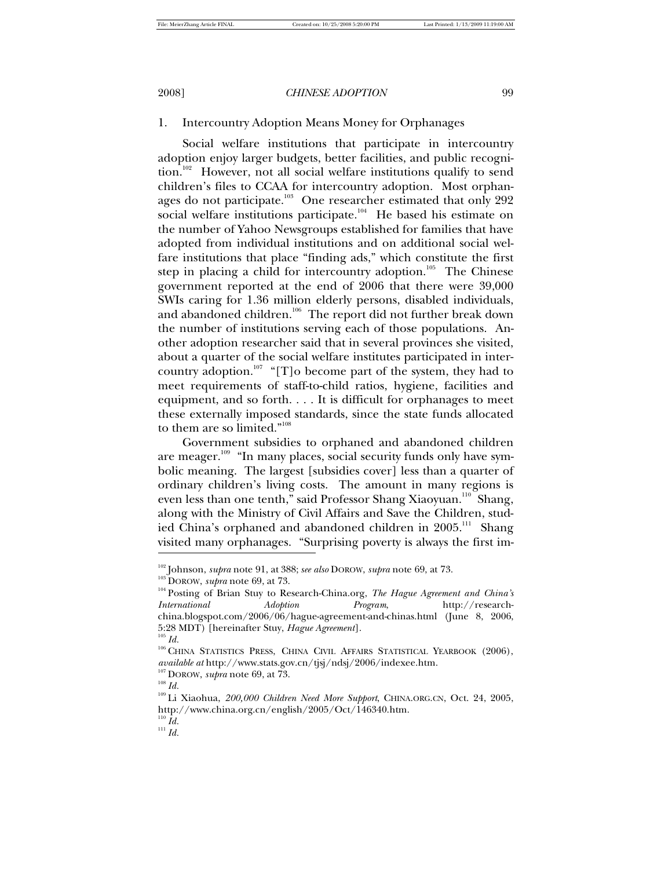# 1. Intercountry Adoption Means Money for Orphanages

Social welfare institutions that participate in intercountry adoption enjoy larger budgets, better facilities, and public recognition.<sup>102</sup> However, not all social welfare institutions qualify to send children's files to CCAA for intercountry adoption. Most orphanages do not participate.<sup>103</sup> One researcher estimated that only 292 social welfare institutions participate.<sup>104</sup> He based his estimate on the number of Yahoo Newsgroups established for families that have adopted from individual institutions and on additional social welfare institutions that place "finding ads," which constitute the first step in placing a child for intercountry adoption.<sup>105</sup> The Chinese government reported at the end of 2006 that there were 39,000 SWIs caring for 1.36 million elderly persons, disabled individuals, and abandoned children.<sup>106</sup> The report did not further break down the number of institutions serving each of those populations. Another adoption researcher said that in several provinces she visited, about a quarter of the social welfare institutes participated in intercountry adoption.<sup>107</sup> "[T]o become part of the system, they had to meet requirements of staff-to-child ratios, hygiene, facilities and equipment, and so forth. . . . It is difficult for orphanages to meet these externally imposed standards, since the state funds allocated to them are so limited."<sup>108</sup>

Government subsidies to orphaned and abandoned children are meager.<sup>109</sup> "In many places, social security funds only have symbolic meaning. The largest [subsidies cover] less than a quarter of ordinary children's living costs. The amount in many regions is even less than one tenth," said Professor Shang Xiaoyuan.<sup>110</sup> Shang, along with the Ministry of Civil Affairs and Save the Children, studied China's orphaned and abandoned children in  $2005.^{\rm m}$  Shang visited many orphanages. "Surprising poverty is always the first im- -

<sup>102</sup> Johnson, *supra* note 91, at 388; *see also* DOROW, *supra* note 69, at 73.

<sup>103</sup> DOROW, *supra* note 69, at 73.

<sup>104</sup> Posting of Brian Stuy to Research-China.org, *The Hague Agreement and China's International Adoption Program*, http://researchchina.blogspot.com/2006/06/hague-agreement-and-chinas.html (June 8, 2006, 5:28 MDT) [hereinafter Stuy, *Hague Agreement*].  $^{105}\,Id.$ 

<sup>&</sup>lt;sup>106</sup> CHINA STATISTICS PRESS, CHINA CIVIL AFFAIRS STATISTICAL YEARBOOK (2006), *available at* http://www.stats.gov.cn/tjsj/ndsj/2006/indexee.htm.

<sup>107</sup> DOROW, *supra* note 69, at 73.

 $^{108}$   $Id.$ 

<sup>109</sup> Li Xiaohua, *200,000 Children Need More Support*, CHINA.ORG.CN, Oct. 24, 2005, http://www.china.org.cn/english/2005/Oct/146340.htm.  $^{110}$   $Id.$ 

 $^{111}$  *Id.*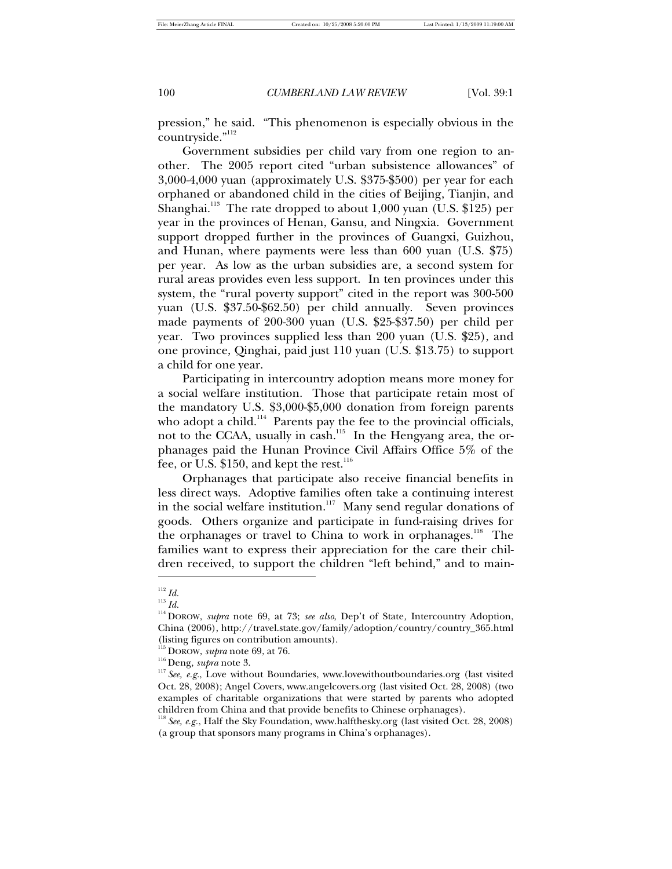pression," he said. "This phenomenon is especially obvious in the countryside."<sup>112</sup>

Government subsidies per child vary from one region to another. The 2005 report cited "urban subsistence allowances" of 3,000-4,000 yuan (approximately U.S. \$375-\$500) per year for each orphaned or abandoned child in the cities of Beijing, Tianjin, and Shanghai.<sup>113</sup> The rate dropped to about 1,000 yuan (U.S. \$125) per year in the provinces of Henan, Gansu, and Ningxia. Government support dropped further in the provinces of Guangxi, Guizhou, and Hunan, where payments were less than 600 yuan (U.S. \$75) per year. As low as the urban subsidies are, a second system for rural areas provides even less support. In ten provinces under this system, the "rural poverty support" cited in the report was 300-500 yuan (U.S. \$37.50-\$62.50) per child annually. Seven provinces made payments of 200-300 yuan (U.S. \$25-\$37.50) per child per year. Two provinces supplied less than 200 yuan (U.S. \$25), and one province, Qinghai, paid just 110 yuan (U.S. \$13.75) to support a child for one year.

Participating in intercountry adoption means more money for a social welfare institution. Those that participate retain most of the mandatory U.S. \$3,000-\$5,000 donation from foreign parents who adopt a child.<sup>114</sup> Parents pay the fee to the provincial officials, not to the CCAA, usually in cash.<sup>115</sup> In the Hengyang area, the orphanages paid the Hunan Province Civil Affairs Office 5% of the fee, or U.S. \$150, and kept the rest. $^{116}$ 

Orphanages that participate also receive financial benefits in less direct ways. Adoptive families often take a continuing interest in the social welfare institution.<sup>117</sup> Many send regular donations of goods. Others organize and participate in fund-raising drives for the orphanages or travel to China to work in orphanages.<sup>118</sup> The families want to express their appreciation for the care their children received, to support the children "left behind," and to main- -

 $112$  *Id.* 

<sup>113</sup> *Id.*

<sup>114</sup> DOROW, *supra* note 69, at 73; *see also*, Dep't of State*,* Intercountry Adoption, China (2006), http://travel.state.gov/family/adoption/country/country\_365.html (listing figures on contribution amounts).

<sup>115</sup> DOROW, *supra* note 69, at 76.

<sup>116</sup> Deng, *supra* note 3.

<sup>&</sup>lt;sup>117</sup> See, e.g., Love without Boundaries, www.lovewithoutboundaries.org (last visited Oct. 28, 2008); Angel Covers, www.angelcovers.org (last visited Oct. 28, 2008) (two examples of charitable organizations that were started by parents who adopted children from China and that provide benefits to Chinese orphanages).

<sup>118</sup> *See, e.g.*, Half the Sky Foundation, www.halfthesky.org (last visited Oct. 28, 2008) (a group that sponsors many programs in China's orphanages).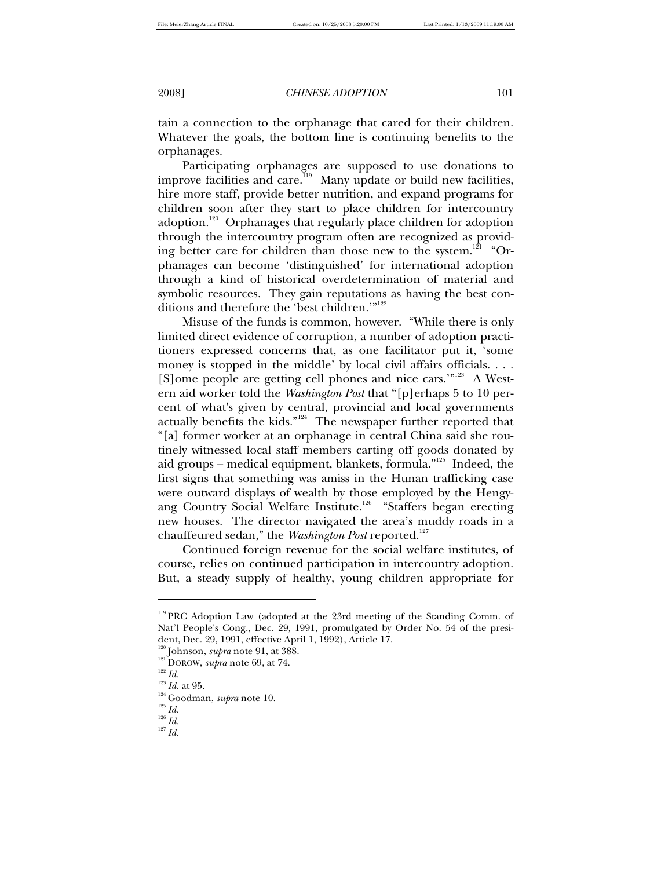tain a connection to the orphanage that cared for their children. Whatever the goals, the bottom line is continuing benefits to the orphanages.

Participating orphanages are supposed to use donations to improve facilities and care.<sup>119</sup> Many update or build new facilities, hire more staff, provide better nutrition, and expand programs for children soon after they start to place children for intercountry adoption.<sup>120</sup> Orphanages that regularly place children for adoption through the intercountry program often are recognized as providing better care for children than those new to the system.<sup>121</sup> "Orphanages can become 'distinguished' for international adoption through a kind of historical overdetermination of material and symbolic resources. They gain reputations as having the best conditions and therefore the 'best children.'"<sup>122</sup>

Misuse of the funds is common, however. "While there is only limited direct evidence of corruption, a number of adoption practitioners expressed concerns that, as one facilitator put it, 'some money is stopped in the middle' by local civil affairs officials. . . . [S]ome people are getting cell phones and nice cars.'"<sup>123</sup> A Western aid worker told the *Washington Post* that "[p]erhaps 5 to 10 percent of what's given by central, provincial and local governments actually benefits the kids." $124$  The newspaper further reported that "[a] former worker at an orphanage in central China said she routinely witnessed local staff members carting off goods donated by aid groups – medical equipment, blankets, formula."<sup>125</sup> Indeed, the first signs that something was amiss in the Hunan trafficking case were outward displays of wealth by those employed by the Hengyang Country Social Welfare Institute.<sup>126</sup> "Staffers began erecting new houses. The director navigated the area's muddy roads in a chauffeured sedan," the *Washington Post* reported.<sup>127</sup>

Continued foreign revenue for the social welfare institutes, of course, relies on continued participation in intercountry adoption. But, a steady supply of healthy, young children appropriate for

<sup>&</sup>lt;sup>119</sup> PRC Adoption Law (adopted at the 23rd meeting of the Standing Comm. of Nat'l People's Cong., Dec. 29, 1991, promulgated by Order No. 54 of the president, Dec. 29, 1991, effective April 1, 1992), Article 17.

<sup>120</sup> Johnson, *supra* note 91, at 388.

<sup>&</sup>lt;sup>121</sup>DOROW, *supra* note 69, at 74.

 $^{122}\,Id.$ 

<sup>123</sup> *Id.* at 95.

<sup>124</sup> Goodman, *supra* note 10.

<sup>125</sup> *Id.*

<sup>126</sup> *Id.*

<sup>127</sup> *Id.*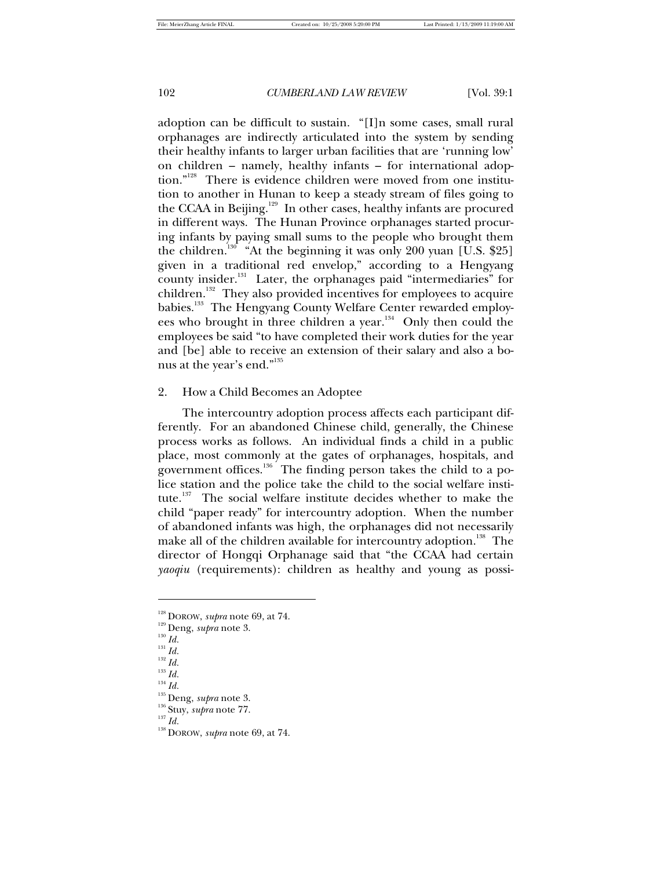adoption can be difficult to sustain. "[I]n some cases, small rural orphanages are indirectly articulated into the system by sending their healthy infants to larger urban facilities that are 'running low' on children – namely, healthy infants – for international adoption."<sup>128</sup> There is evidence children were moved from one institution to another in Hunan to keep a steady stream of files going to the CCAA in Beijing.<sup>129</sup> In other cases, healthy infants are procured in different ways. The Hunan Province orphanages started procuring infants by paying small sums to the people who brought them the children.<sup>130</sup> "At the beginning it was only 200 yuan [U.S. \$25] given in a traditional red envelop," according to a Hengyang county insider.<sup>131</sup> Later, the orphanages paid "intermediaries" for children.<sup>132</sup> They also provided incentives for employees to acquire babies.<sup>133</sup> The Hengyang County Welfare Center rewarded employees who brought in three children a year.<sup>134</sup> Only then could the employees be said "to have completed their work duties for the year and [be] able to receive an extension of their salary and also a bonus at the year's end."<sup>135</sup>

# 2. How a Child Becomes an Adoptee

The intercountry adoption process affects each participant differently. For an abandoned Chinese child, generally, the Chinese process works as follows. An individual finds a child in a public place, most commonly at the gates of orphanages, hospitals, and government offices.<sup>136</sup> The finding person takes the child to a police station and the police take the child to the social welfare institute.<sup>137</sup> The social welfare institute decides whether to make the child "paper ready" for intercountry adoption. When the number of abandoned infants was high, the orphanages did not necessarily make all of the children available for intercountry adoption.<sup>138</sup> The director of Hongqi Orphanage said that "the CCAA had certain *yaoqiu* (requirements): children as healthy and young as possi-

-

<sup>128</sup> DOROW, *supra* note 69, at 74.

<sup>129</sup> Deng, *supra* note 3.

<sup>130</sup> *Id.*

<sup>131</sup> *Id.*

<sup>132</sup> *Id.*

<sup>133</sup> *Id.*

<sup>134</sup> *Id.*

<sup>135</sup> Deng, *supra* note 3.

<sup>136</sup> Stuy, *supra* note 77.

<sup>138</sup> DOROW, *supra* note 69, at 74.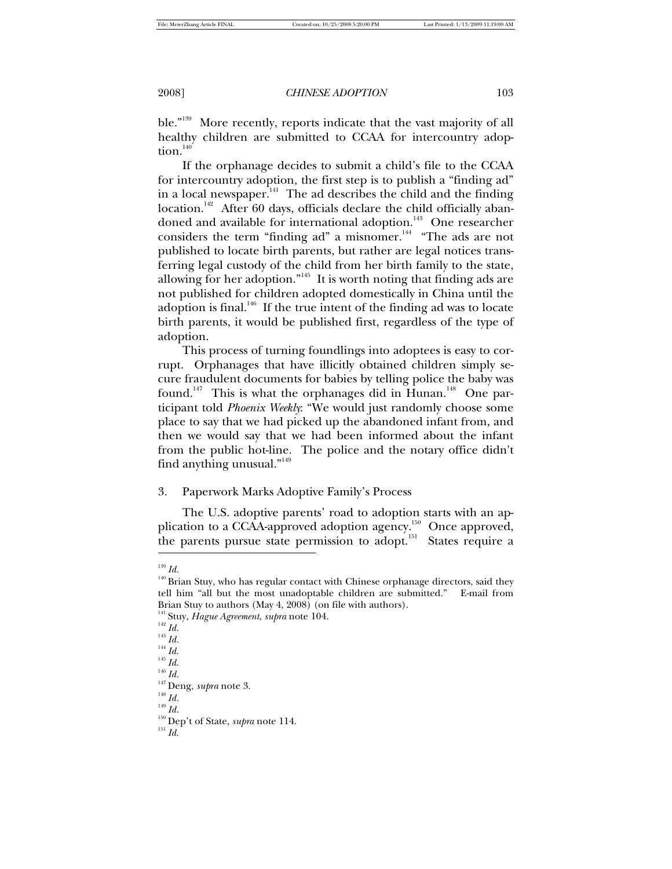ble."<sup>139</sup> More recently, reports indicate that the vast majority of all healthy children are submitted to CCAA for intercountry adoption. $140$ 

If the orphanage decides to submit a child's file to the CCAA for intercountry adoption, the first step is to publish a "finding ad" in a local newspaper.<sup>141</sup> The ad describes the child and the finding location.<sup>142</sup> After 60 days, officials declare the child officially abandoned and available for international adoption.<sup>143</sup> One researcher considers the term "finding ad" a misnomer. $144$  "The ads are not published to locate birth parents, but rather are legal notices transferring legal custody of the child from her birth family to the state, allowing for her adoption."<sup>145</sup> It is worth noting that finding ads are not published for children adopted domestically in China until the adoption is final.<sup>146</sup> If the true intent of the finding ad was to locate birth parents, it would be published first, regardless of the type of adoption.

This process of turning foundlings into adoptees is easy to corrupt. Orphanages that have illicitly obtained children simply secure fraudulent documents for babies by telling police the baby was found.<sup>147</sup> This is what the orphanages did in Hunan.<sup>148</sup> One participant told *Phoenix Weekly*: "We would just randomly choose some place to say that we had picked up the abandoned infant from, and then we would say that we had been informed about the infant from the public hot-line. The police and the notary office didn't find anything unusual."<sup>149</sup>

# 3. Paperwork Marks Adoptive Family's Process

The U.S. adoptive parents' road to adoption starts with an application to a CCAA-approved adoption agency.<sup>150</sup> Once approved, the parents pursue state permission to adopt.<sup>151</sup> States require a -

<sup>139</sup> *Id.*

<sup>&</sup>lt;sup>140</sup> Brian Stuy, who has regular contact with Chinese orphanage directors, said they tell him "all but the most unadoptable children are submitted." E-mail from Brian Stuy to authors (May 4, 2008) (on file with authors).

<sup>141</sup> Stuy, *Hague Agreement*, *supra* note 104.

<sup>142</sup> *Id.*

<sup>143</sup> *Id.*

<sup>144</sup> *Id*.

<sup>145</sup> *Id*.

<sup>146</sup> *Id.*

<sup>147</sup> Deng, *supra* note 3.

<sup>148</sup> *Id.*

<sup>149</sup> *Id.*

<sup>150</sup> Dep't of State, *supra* note 114.

 $^{151}\, \mathrm{Id.}$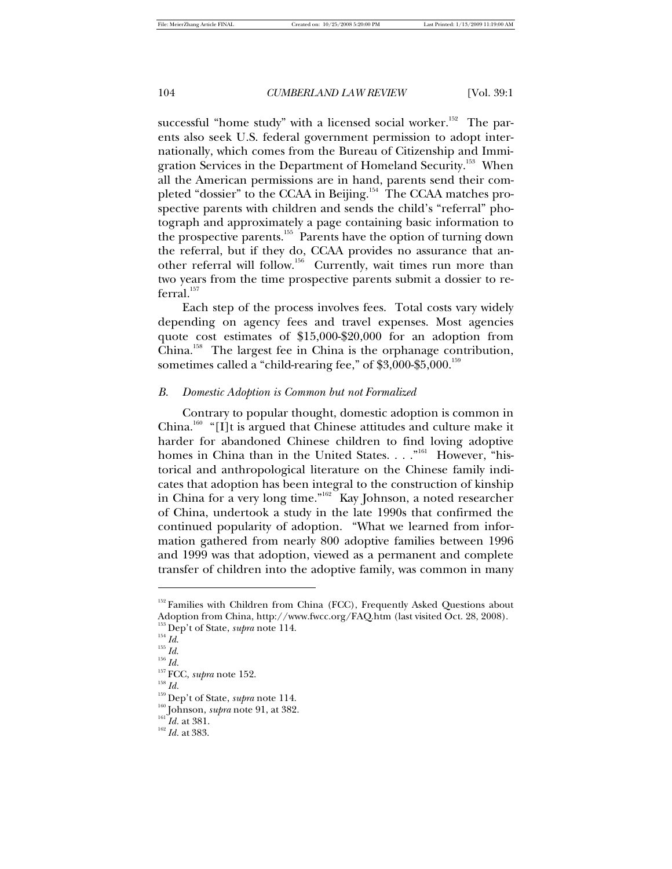successful "home study" with a licensed social worker.<sup>152</sup> The parents also seek U.S. federal government permission to adopt internationally, which comes from the Bureau of Citizenship and Immigration Services in the Department of Homeland Security.<sup>153</sup> When all the American permissions are in hand, parents send their completed "dossier" to the CCAA in Beijing.<sup>154</sup> The CCAA matches prospective parents with children and sends the child's "referral" photograph and approximately a page containing basic information to the prospective parents.<sup>155</sup> Parents have the option of turning down the referral, but if they do, CCAA provides no assurance that another referral will follow.<sup>156</sup> Currently, wait times run more than two years from the time prospective parents submit a dossier to re $ferral.<sup>157</sup>$ 

Each step of the process involves fees. Total costs vary widely depending on agency fees and travel expenses. Most agencies quote cost estimates of \$15,000-\$20,000 for an adoption from China.<sup>158</sup> The largest fee in China is the orphanage contribution, sometimes called a "child-rearing fee," of  $$3,000$ - $$5,000$ .<sup>159</sup>

# *B. Domestic Adoption is Common but not Formalized*

Contrary to popular thought, domestic adoption is common in China.<sup>160</sup> "[I]t is argued that Chinese attitudes and culture make it harder for abandoned Chinese children to find loving adoptive homes in China than in the United States. . . . "<sup>161</sup> However, "historical and anthropological literature on the Chinese family indicates that adoption has been integral to the construction of kinship in China for a very long time."<sup>162</sup> Kay Johnson, a noted researcher of China, undertook a study in the late 1990s that confirmed the continued popularity of adoption. "What we learned from information gathered from nearly 800 adoptive families between 1996 and 1999 was that adoption, viewed as a permanent and complete transfer of children into the adoptive family, was common in many

1

<sup>&</sup>lt;sup>152</sup> Families with Children from China (FCC), Frequently Asked Questions about Adoption from China, http://www.fwcc.org/FAQ.htm (last visited Oct. 28, 2008).

<sup>153</sup> Dep't of State, *supra* note 114.

<sup>154</sup> *Id*. <sup>155</sup> *Id*.

<sup>156</sup> *Id.*

<sup>157</sup> FCC, *supra* note 152.

<sup>159</sup> Dep't of State, *supra* note 114.

<sup>&</sup>lt;sup>160</sup> Johnson, *supra* note 91, at 382.

<sup>&</sup>lt;sup>161</sup>*Id.* at 381.

<sup>162</sup> *Id.* at 383.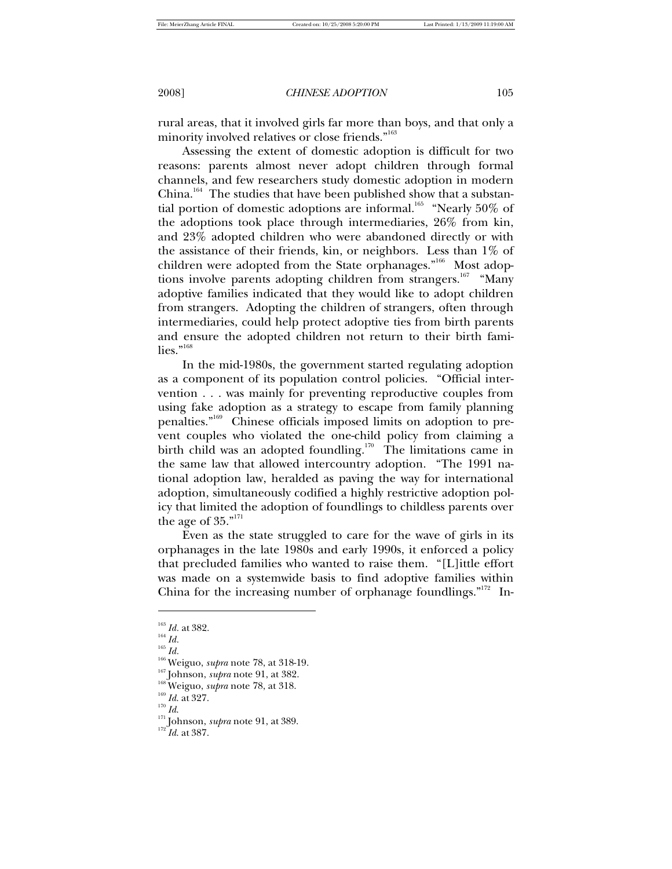rural areas, that it involved girls far more than boys, and that only a minority involved relatives or close friends."<sup>163</sup>

Assessing the extent of domestic adoption is difficult for two reasons: parents almost never adopt children through formal channels, and few researchers study domestic adoption in modern China.<sup>164</sup> The studies that have been published show that a substantial portion of domestic adoptions are informal.<sup>165</sup> "Nearly 50% of the adoptions took place through intermediaries, 26% from kin, and 23% adopted children who were abandoned directly or with the assistance of their friends, kin, or neighbors. Less than 1% of children were adopted from the State orphanages."<sup>166</sup> Most adoptions involve parents adopting children from strangers.<sup>167</sup> "Many adoptive families indicated that they would like to adopt children from strangers. Adopting the children of strangers, often through intermediaries, could help protect adoptive ties from birth parents and ensure the adopted children not return to their birth fami $lies.^{"^{168}}$ 

In the mid-1980s, the government started regulating adoption as a component of its population control policies. "Official intervention . . . was mainly for preventing reproductive couples from using fake adoption as a strategy to escape from family planning penalties."<sup>169</sup> Chinese officials imposed limits on adoption to prevent couples who violated the one-child policy from claiming a birth child was an adopted foundling.<sup>170</sup> The limitations came in the same law that allowed intercountry adoption. "The 1991 national adoption law, heralded as paving the way for international adoption, simultaneously codified a highly restrictive adoption policy that limited the adoption of foundlings to childless parents over the age of  $35.^{"^{171}}$ 

Even as the state struggled to care for the wave of girls in its orphanages in the late 1980s and early 1990s, it enforced a policy that precluded families who wanted to raise them. "[L]ittle effort was made on a systemwide basis to find adoptive families within China for the increasing number of orphanage foundlings."<sup>172</sup> In-

<sup>165</sup> *Id.*

-

 $^{170}\,Id.$ 

<sup>163</sup> *Id.* at 382.

<sup>164</sup> *Id.*

<sup>166</sup> Weiguo, *supra* note 78, at 318-19.

<sup>&</sup>lt;sup>167</sup> Johnson, *supra* note 91, at 382.

<sup>&</sup>lt;sup>168</sup> Weiguo, *supra* note 78, at 318.

<sup>169</sup> *Id*. at 327.

<sup>&</sup>lt;sup>171</sup> Johnson, *supra* note 91, at 389.

<sup>172</sup> *Id*. at 387.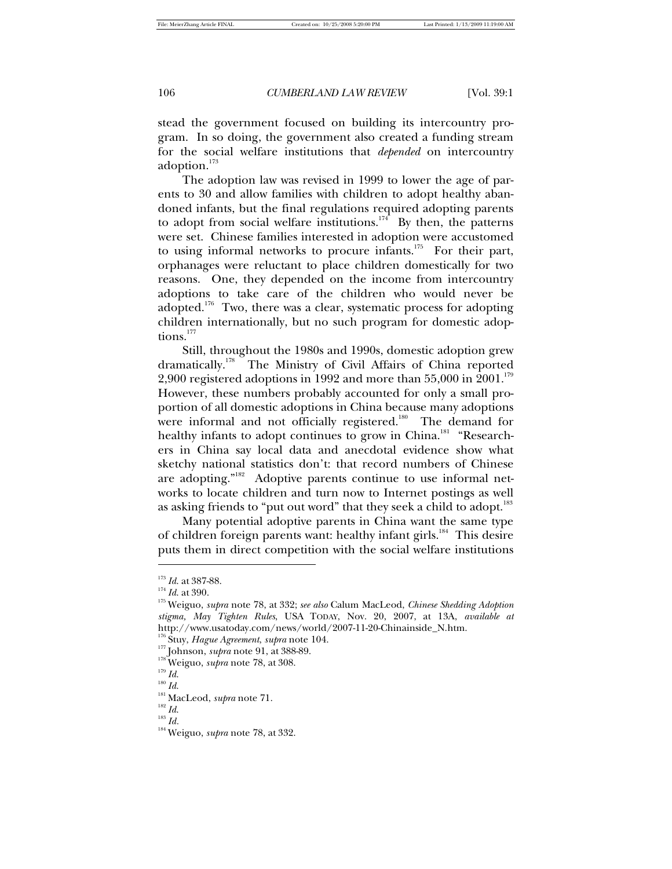stead the government focused on building its intercountry program. In so doing, the government also created a funding stream for the social welfare institutions that *depended* on intercountry adoption.<sup>173</sup>

The adoption law was revised in 1999 to lower the age of parents to 30 and allow families with children to adopt healthy abandoned infants, but the final regulations required adopting parents to adopt from social welfare institutions.<sup>174</sup> By then, the patterns were set. Chinese families interested in adoption were accustomed to using informal networks to procure infants.<sup>175</sup> For their part, orphanages were reluctant to place children domestically for two reasons. One, they depended on the income from intercountry adoptions to take care of the children who would never be adopted.<sup>176</sup> Two, there was a clear, systematic process for adopting children internationally, but no such program for domestic adoptions.<sup>177</sup>

Still, throughout the 1980s and 1990s, domestic adoption grew dramatically.<sup>178</sup> The Ministry of Civil Affairs of China reported 2,900 registered adoptions in 1992 and more than  $55,000$  in  $2001.^{179}$ However, these numbers probably accounted for only a small proportion of all domestic adoptions in China because many adoptions were informal and not officially registered.<sup>180</sup> The demand for healthy infants to adopt continues to grow in China.<sup>181</sup> "Researchers in China say local data and anecdotal evidence show what sketchy national statistics don't: that record numbers of Chinese are adopting."<sup>182</sup> Adoptive parents continue to use informal networks to locate children and turn now to Internet postings as well as asking friends to "put out word" that they seek a child to adopt.<sup>183</sup>

Many potential adoptive parents in China want the same type of children foreign parents want: healthy infant girls.<sup>184</sup> This desire puts them in direct competition with the social welfare institutions

1

<sup>182</sup> *Id*.

<sup>173</sup> *Id*. at 387-88.

<sup>174</sup> *Id*. at 390.

<sup>175</sup> Weiguo, *supra* note 78, at 332; *see also* Calum MacLeod, *Chinese Shedding Adoption stigma, May Tighten Rules*, USA TODAY, Nov. 20, 2007, at 13A, *available at*  http://www.usatoday.com/news/world/2007-11-20-Chinainside\_N.htm.

<sup>176</sup> Stuy, *Hague Agreement*, *supra* note 104.

<sup>177</sup> Johnson, *supra* note 91, at 388-89.

<sup>&</sup>lt;sup>178</sup> Weiguo, *supra* note 78, at 308.

<sup>179</sup> *Id*.

<sup>180</sup> *Id*.

<sup>181</sup> MacLeod, *supra* note 71.

<sup>184</sup> Weiguo, *supra* note 78, at 332.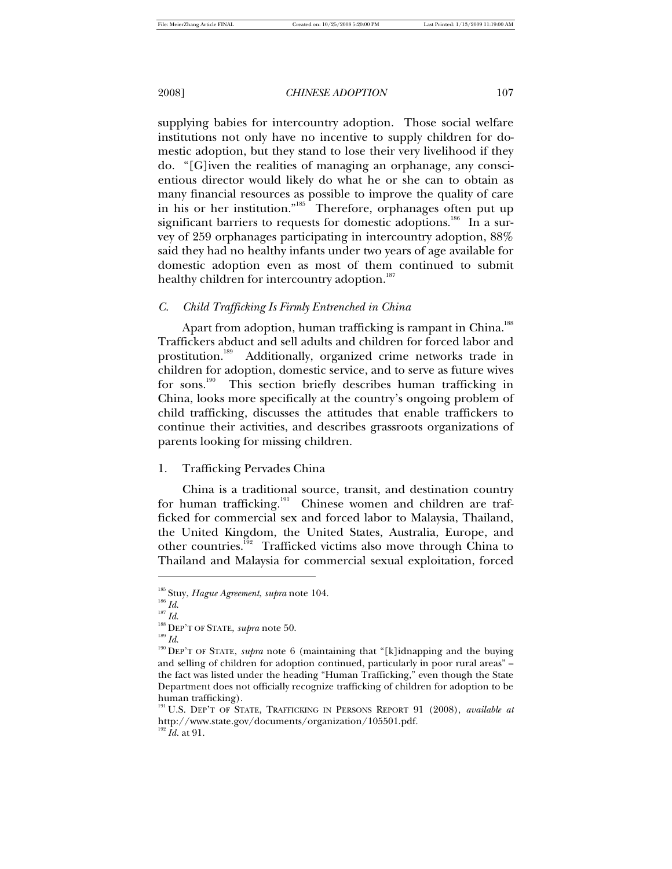supplying babies for intercountry adoption. Those social welfare institutions not only have no incentive to supply children for domestic adoption, but they stand to lose their very livelihood if they do. "[G]iven the realities of managing an orphanage, any conscientious director would likely do what he or she can to obtain as many financial resources as possible to improve the quality of care in his or her institution."<sup>185</sup> Therefore, orphanages often put up significant barriers to requests for domestic adoptions.<sup>186</sup> In a survey of 259 orphanages participating in intercountry adoption, 88% said they had no healthy infants under two years of age available for domestic adoption even as most of them continued to submit healthy children for intercountry adoption.<sup>187</sup>

# *C. Child Trafficking Is Firmly Entrenched in China*

Apart from adoption, human trafficking is rampant in China.<sup>188</sup> Traffickers abduct and sell adults and children for forced labor and prostitution.<sup>189</sup> Additionally, organized crime networks trade in children for adoption, domestic service, and to serve as future wives for sons.<sup>190</sup> This section briefly describes human trafficking in China, looks more specifically at the country's ongoing problem of child trafficking, discusses the attitudes that enable traffickers to continue their activities, and describes grassroots organizations of parents looking for missing children.

1. Trafficking Pervades China

China is a traditional source, transit, and destination country for human trafficking.<sup>191</sup> Chinese women and children are trafficked for commercial sex and forced labor to Malaysia, Thailand, the United Kingdom, the United States, Australia, Europe, and other countries.<sup>192</sup> Trafficked victims also move through China to Thailand and Malaysia for commercial sexual exploitation, forced

-

<sup>187</sup> *Id*.

<sup>185</sup> Stuy, *Hague Agreement*, *supra* note 104.

<sup>186</sup> *Id*.

<sup>188</sup> DEP'T OF STATE, *supra* note 50.

<sup>&</sup>lt;sup>190</sup> DEP'T OF STATE, *supra* note 6 (maintaining that "[k]idnapping and the buying and selling of children for adoption continued, particularly in poor rural areas" – the fact was listed under the heading "Human Trafficking," even though the State Department does not officially recognize trafficking of children for adoption to be human trafficking).

<sup>191</sup> U.S. DEP'T OF STATE, TRAFFICKING IN PERSONS REPORT 91 (2008), *available at* http://www.state.gov/documents/organization/105501.pdf.  $^{192}$   $\bar{I}$ *d.* at 91.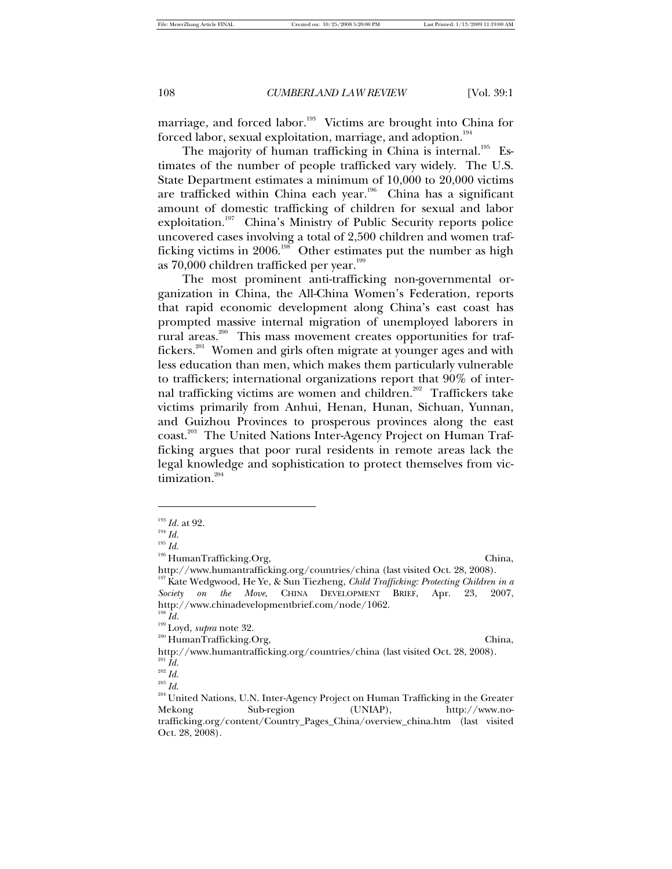marriage, and forced labor.<sup>193</sup> Victims are brought into China for forced labor, sexual exploitation, marriage, and adoption. $194$ 

The majority of human trafficking in China is internal.<sup>195</sup> Estimates of the number of people trafficked vary widely. The U.S. State Department estimates a minimum of 10,000 to 20,000 victims are trafficked within China each year.<sup>196</sup> China has a significant amount of domestic trafficking of children for sexual and labor exploitation.<sup>197</sup> China's Ministry of Public Security reports police uncovered cases involving a total of 2,500 children and women trafficking victims in 2006.<sup>198</sup> Other estimates put the number as high as  $70,000$  children trafficked per year.<sup>199</sup>

The most prominent anti-trafficking non-governmental organization in China, the All-China Women's Federation, reports that rapid economic development along China's east coast has prompted massive internal migration of unemployed laborers in rural areas.<sup>200</sup> This mass movement creates opportunities for traffickers.<sup>201</sup> Women and girls often migrate at younger ages and with less education than men, which makes them particularly vulnerable to traffickers; international organizations report that 90% of internal trafficking victims are women and children.<sup>202</sup> Traffickers take victims primarily from Anhui, Henan, Hunan, Sichuan, Yunnan, and Guizhou Provinces to prosperous provinces along the east coast.<sup>203</sup> The United Nations Inter-Agency Project on Human Trafficking argues that poor rural residents in remote areas lack the legal knowledge and sophistication to protect themselves from victimization. $204$ 

<sup>195</sup> *Id*.

-

<sup>193</sup> *Id.* at 92.

<sup>194</sup> *Id.*

<sup>&</sup>lt;sup>196</sup> HumanTrafficking.Org, China,

http://www.humantrafficking.org/countries/china (last visited Oct. 28, 2008). <sup>197</sup> Kate Wedgwood, He Ye, & Sun Tiezheng, *Child Trafficking: Protecting Children in a Society on the Move*, CHINA DEVELOPMENT BRIEF, Apr. 23, 2007, http://www.chinadevelopmentbrief.com/node/1062.

<sup>198</sup> *Id.*

<sup>199</sup> Loyd, *supra* note 32.  $^{200}$  HumanTrafficking.Org, China,

http://www.humantrafficking.org/countries/china (last visited Oct. 28, 2008).  $^{\prime\prime}$  *Id.* 

<sup>202</sup> *Id*.

<sup>&</sup>lt;sup>204</sup> United Nations, U.N. Inter-Agency Project on Human Trafficking in the Greater Mekong Sub-region (UNIAP), http://www.notrafficking.org/content/Country\_Pages\_China/overview\_china.htm (last visited Oct. 28, 2008).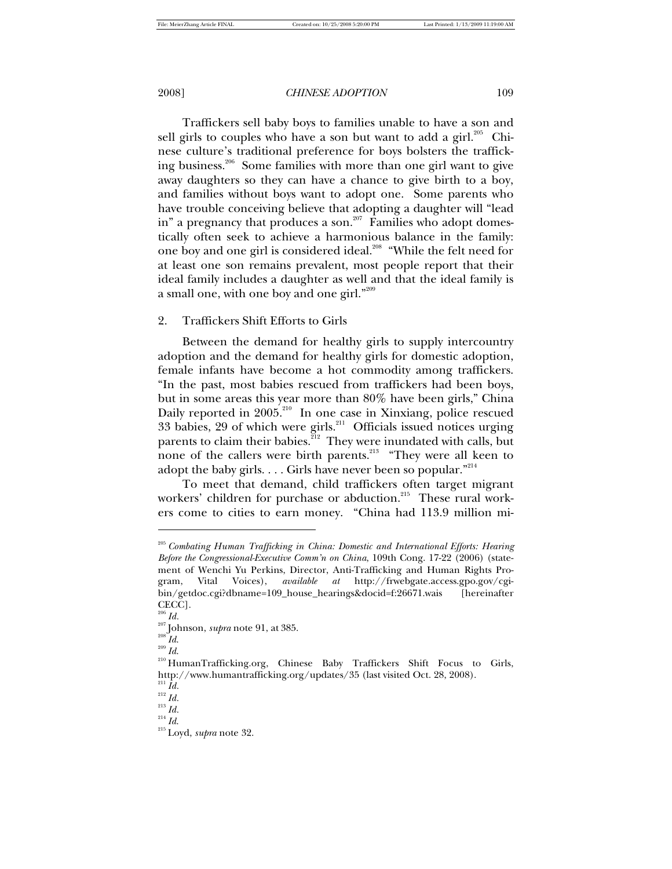Traffickers sell baby boys to families unable to have a son and sell girls to couples who have a son but want to add a girl.<sup>205</sup> Chinese culture's traditional preference for boys bolsters the trafficking business.<sup>206</sup> Some families with more than one girl want to give away daughters so they can have a chance to give birth to a boy, and families without boys want to adopt one. Some parents who have trouble conceiving believe that adopting a daughter will "lead in" a pregnancy that produces a son.<sup>207</sup> Families who adopt domestically often seek to achieve a harmonious balance in the family: one boy and one girl is considered ideal.<sup>208</sup> "While the felt need for at least one son remains prevalent, most people report that their ideal family includes a daughter as well and that the ideal family is a small one, with one boy and one girl." $^{209}$ 

# 2. Traffickers Shift Efforts to Girls

Between the demand for healthy girls to supply intercountry adoption and the demand for healthy girls for domestic adoption, female infants have become a hot commodity among traffickers. "In the past, most babies rescued from traffickers had been boys, but in some areas this year more than 80% have been girls," China Daily reported in 2005.<sup>210</sup> In one case in Xinxiang, police rescued 33 babies, 29 of which were girls.<sup>211</sup> Officials issued notices urging parents to claim their babies. ${}^{212}$  They were inundated with calls, but none of the callers were birth parents.<sup>213</sup> "They were all keen to adopt the baby girls. . . . Girls have never been so popular. $^{214}$ 

To meet that demand, child traffickers often target migrant workers' children for purchase or abduction.<sup>215</sup> These rural workers come to cities to earn money. "China had 113.9 million mi-

1

<sup>205</sup> *Combating Human Trafficking in China: Domestic and International Efforts: Hearing Before the Congressional-Executive Comm'n on China*, 109th Cong. 17-22 (2006) (statement of Wenchi Yu Perkins, Director, Anti-Trafficking and Human Rights Program, Vital Voices), *available at* http://frwebgate.access.gpo.gov/cgibin/getdoc.cgi?dbname=109\_house\_hearings&docid=f:26671.wais [hereinafter CECC].

 $\real^{206}$   $Id.$ 

<sup>207</sup> Johnson, *supra* note 91, at 385.

 $\overset{208}{ }_{1} \overset{\sim }{H}$ 

<sup>210</sup> HumanTrafficking.org, Chinese Baby Traffickers Shift Focus to Girls, http://www.humantrafficking.org/updates/35 (last visited Oct. 28, 2008).

 $\real^{211}$   $Id.$ <sup>212</sup> *Id.*

<sup>213</sup> *Id.*

<sup>214</sup> *Id*.

<sup>215</sup> Loyd, *supra* note 32.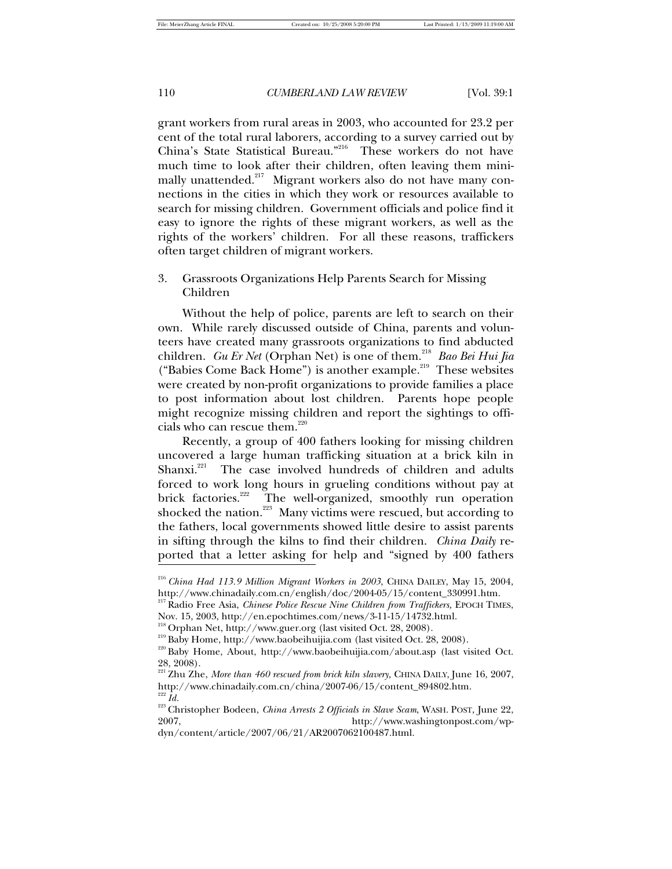grant workers from rural areas in 2003, who accounted for 23.2 per cent of the total rural laborers, according to a survey carried out by China's State Statistical Bureau."<sup>216</sup> These workers do not have much time to look after their children, often leaving them minimally unattended. $217$  Migrant workers also do not have many connections in the cities in which they work or resources available to search for missing children. Government officials and police find it easy to ignore the rights of these migrant workers, as well as the rights of the workers' children. For all these reasons, traffickers often target children of migrant workers.

# 3. Grassroots Organizations Help Parents Search for Missing Children

Without the help of police, parents are left to search on their own. While rarely discussed outside of China, parents and volunteers have created many grassroots organizations to find abducted children. *Gu Er Net* (Orphan Net) is one of them.<sup>218</sup> Bao Bei Hui Jia ("Babies Come Back Home") is another example.<sup>219</sup> These websites were created by non-profit organizations to provide families a place to post information about lost children. Parents hope people might recognize missing children and report the sightings to officials who can rescue them.<sup>220</sup>

Recently, a group of 400 fathers looking for missing children uncovered a large human trafficking situation at a brick kiln in Shanxi.<sup>221</sup> The case involved hundreds of children and adults The case involved hundreds of children and adults forced to work long hours in grueling conditions without pay at brick factories.<sup>222</sup> The well-organized, smoothly run operation shocked the nation.<sup>223</sup> Many victims were rescued, but according to the fathers, local governments showed little desire to assist parents in sifting through the kilns to find their children. *China Daily* reported that a letter asking for help and "signed by 400 fathers  $\overline{1}$ 

<sup>216</sup> *China Had 113.9 Million Migrant Workers in 2003*, CHINA DAILEY, May 15, 2004, http://www.chinadaily.com.cn/english/doc/2004-05/15/content\_330991.htm.

<sup>&</sup>lt;sup>217</sup> Radio Free Asia, *Chinese Police Rescue Nine Children from Traffickers*, EPOCH TIMES, Nov. 15, 2003, http://en.epochtimes.com/news/3-11-15/14732.html.

<sup>218</sup> Orphan Net, http://www.guer.org (last visited Oct. 28, 2008).

<sup>&</sup>lt;sup>219</sup> Baby Home, http://www.baobeihuijia.com (last visited Oct. 28, 2008).

<sup>220</sup> Baby Home, About, http://www.baobeihuijia.com/about.asp (last visited Oct. 28, 2008).

<sup>&</sup>lt;sup>221</sup> Zhu Zhe, *More than 460 rescued from brick kiln slavery*, CHINA DAILY, June 16, 2007, http://www.chinadaily.com.cn/china/2007-06/15/content\_894802.htm.  $\,$   $^{222}$   $Id.$ 

<sup>223</sup> Christopher Bodeen, *China Arrests 2 Officials in Slave Scam*, WASH. POST, June 22, 2007, http://www.washingtonpost.com/wpdyn/content/article/2007/06/21/AR2007062100487.html.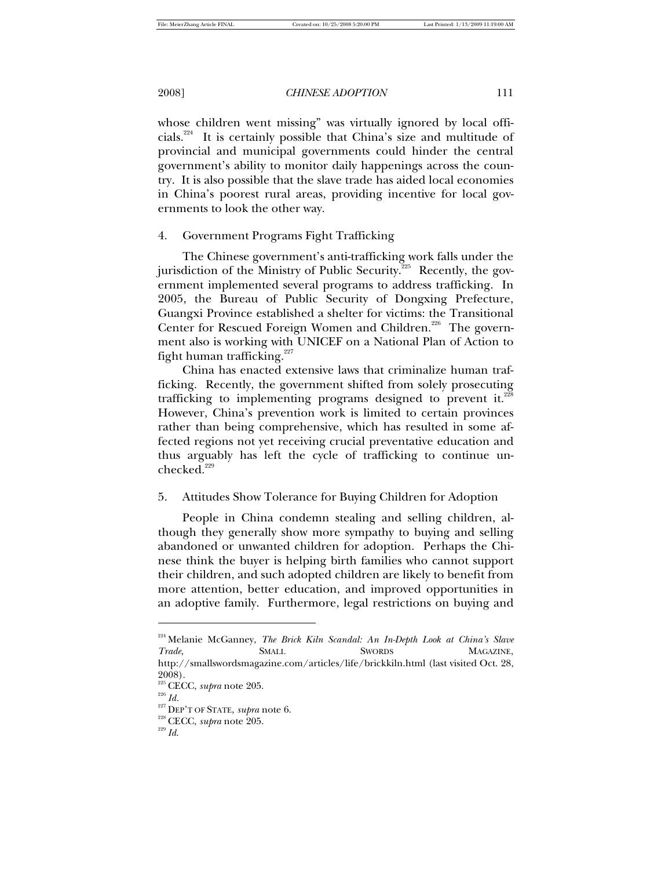whose children went missing" was virtually ignored by local officials.<sup>224</sup> It is certainly possible that China's size and multitude of provincial and municipal governments could hinder the central government's ability to monitor daily happenings across the country. It is also possible that the slave trade has aided local economies in China's poorest rural areas, providing incentive for local governments to look the other way.

4. Government Programs Fight Trafficking

The Chinese government's anti-trafficking work falls under the jurisdiction of the Ministry of Public Security.<sup>225</sup> Recently, the government implemented several programs to address trafficking. In 2005, the Bureau of Public Security of Dongxing Prefecture, Guangxi Province established a shelter for victims: the Transitional Center for Rescued Foreign Women and Children.<sup>226</sup> The government also is working with UNICEF on a National Plan of Action to fight human trafficking.<sup>227</sup>

China has enacted extensive laws that criminalize human trafficking. Recently, the government shifted from solely prosecuting trafficking to implementing programs designed to prevent it.<sup>228</sup> However, China's prevention work is limited to certain provinces rather than being comprehensive, which has resulted in some affected regions not yet receiving crucial preventative education and thus arguably has left the cycle of trafficking to continue unchecked. $^{229}$ 

### 5. Attitudes Show Tolerance for Buying Children for Adoption

People in China condemn stealing and selling children, although they generally show more sympathy to buying and selling abandoned or unwanted children for adoption. Perhaps the Chinese think the buyer is helping birth families who cannot support their children, and such adopted children are likely to benefit from more attention, better education, and improved opportunities in an adoptive family. Furthermore, legal restrictions on buying and

<sup>&</sup>lt;sup>224</sup> Melanie McGanney, *The Brick Kiln Scandal: An In-Depth Look at China's Slave* **Trade, SMALL SWORDS MAGAZINE,** http://smallswordsmagazine.com/articles/life/brickkiln.html (last visited Oct. 28, 2008).

<sup>225</sup> CECC, *supra* note 205.

<sup>226</sup> *Id.*

<sup>227</sup> DEP'T OF STATE, *supra* note 6.

<sup>228</sup> CECC, *supra* note 205.

<sup>229</sup> *Id*.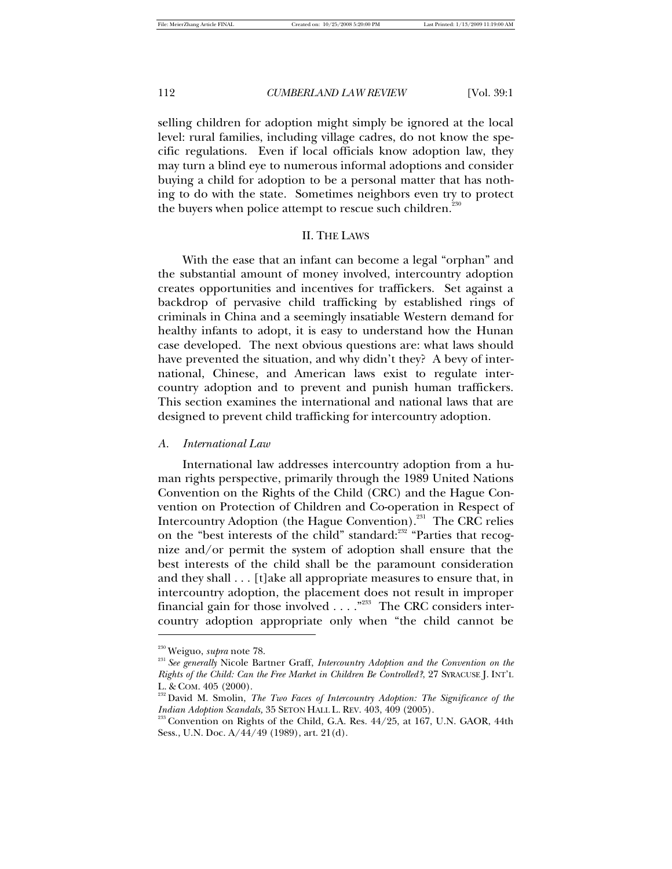selling children for adoption might simply be ignored at the local level: rural families, including village cadres, do not know the specific regulations. Even if local officials know adoption law, they may turn a blind eye to numerous informal adoptions and consider buying a child for adoption to be a personal matter that has nothing to do with the state. Sometimes neighbors even try to protect the buyers when police attempt to rescue such children.<sup>230</sup>

# II. THE LAWS

With the ease that an infant can become a legal "orphan" and the substantial amount of money involved, intercountry adoption creates opportunities and incentives for traffickers. Set against a backdrop of pervasive child trafficking by established rings of criminals in China and a seemingly insatiable Western demand for healthy infants to adopt, it is easy to understand how the Hunan case developed. The next obvious questions are: what laws should have prevented the situation, and why didn't they? A bevy of international, Chinese, and American laws exist to regulate intercountry adoption and to prevent and punish human traffickers. This section examines the international and national laws that are designed to prevent child trafficking for intercountry adoption.

*A. International Law* 

International law addresses intercountry adoption from a human rights perspective, primarily through the 1989 United Nations Convention on the Rights of the Child (CRC) and the Hague Convention on Protection of Children and Co-operation in Respect of Intercountry Adoption (the Hague Convention).<sup>231</sup> The CRC relies on the "best interests of the child" standard:<sup>232</sup> "Parties that recognize and/or permit the system of adoption shall ensure that the best interests of the child shall be the paramount consideration and they shall . . . [t]ake all appropriate measures to ensure that, in intercountry adoption, the placement does not result in improper financial gain for those involved  $\ldots$ ."<sup>233</sup> The CRC considers intercountry adoption appropriate only when "the child cannot be

<sup>230</sup> Weiguo, *supra* note 78.

<sup>231</sup> *See generally* Nicole Bartner Graff, *Intercountry Adoption and the Convention on the Rights of the Child: Can the Free Market in Children Be Controlled?*, 27 SYRACUSE J. INT'L L. & COM. 405 (2000).

<sup>&</sup>lt;sup>232</sup> David M. Smolin, *The Two Faces of Intercountry Adoption: The Significance of the Indian Adoption Scandals,* 35 SETON HALL L. REV. 403, 409 (2005).

 $233$  Convention on Rights of the Child, G.A. Res.  $44/25$ , at 167, U.N. GAOR, 44th Sess., U.N. Doc. A/44/49 (1989), art. 21(d).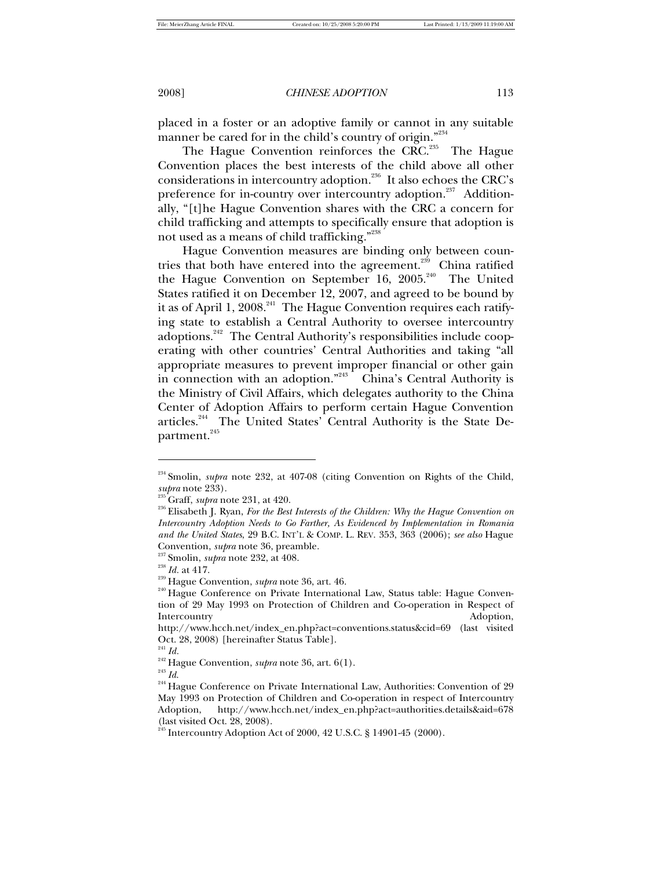placed in a foster or an adoptive family or cannot in any suitable manner be cared for in the child's country of origin."<sup>234</sup>

The Hague Convention reinforces the CRC.<sup>235</sup> The Hague Convention places the best interests of the child above all other considerations in intercountry adoption.<sup>236</sup> It also echoes the CRC's preference for in-country over intercountry adoption.<sup>237</sup> Additionally, "[t]he Hague Convention shares with the CRC a concern for child trafficking and attempts to specifically ensure that adoption is not used as a means of child trafficking."<sup>238</sup>

Hague Convention measures are binding only between countries that both have entered into the agreement.<sup>239</sup> China ratified the Hague Convention on September 16, 2005.<sup>240</sup> The United States ratified it on December 12, 2007, and agreed to be bound by it as of April 1, 2008.<sup>241</sup> The Hague Convention requires each ratifying state to establish a Central Authority to oversee intercountry adoptions.<sup>242</sup> The Central Authority's responsibilities include cooperating with other countries' Central Authorities and taking "all appropriate measures to prevent improper financial or other gain in connection with an adoption."<sup>243</sup> China's Central Authority is the Ministry of Civil Affairs, which delegates authority to the China Center of Adoption Affairs to perform certain Hague Convention articles.<sup>244</sup> The United States' Central Authority is the State Department.<sup>245</sup>

<sup>237</sup> Smolin, *supra* note 232, at 408.

 $\overline{a}$ 

<sup>&</sup>lt;sup>234</sup> Smolin, *supra* note 232, at 407-08 (citing Convention on Rights of the Child, *supra* note 233).

<sup>235</sup> Graff, *supra* note 231, at 420.

<sup>236</sup> Elisabeth J. Ryan, *For the Best Interests of the Children: Why the Hague Convention on Intercountry Adoption Needs to Go Farther, As Evidenced by Implementation in Romania and the United States*, 29 B.C. INT'L & COMP. L. REV. 353, 363 (2006); *see also* Hague Convention, *supra* note 36, preamble.

<sup>238</sup> *Id.* at 417.

<sup>239</sup> Hague Convention, *supra* note 36, art. 46.

<sup>&</sup>lt;sup>240</sup> Hague Conference on Private International Law, Status table: Hague Convention of 29 May 1993 on Protection of Children and Co-operation in Respect of Intercountry Adoption,

http://www.hcch.net/index\_en.php?act=conventions.status&cid=69 (last visited Oct. 28, 2008) [hereinafter Status Table].

 $\real^{241}$   $Id.$ 

<sup>242</sup> Hague Convention, *supra* note 36, art. 6(1).

<sup>243</sup> *Id*.

<sup>&</sup>lt;sup>244</sup> Hague Conference on Private International Law, Authorities: Convention of 29 May 1993 on Protection of Children and Co-operation in respect of Intercountry Adoption, http://www.hcch.net/index\_en.php?act=authorities.details&aid=678 (last visited Oct. 28, 2008).

 $^{245}$  Intercountry Adoption Act of 2000, 42 U.S.C. § 14901-45 (2000).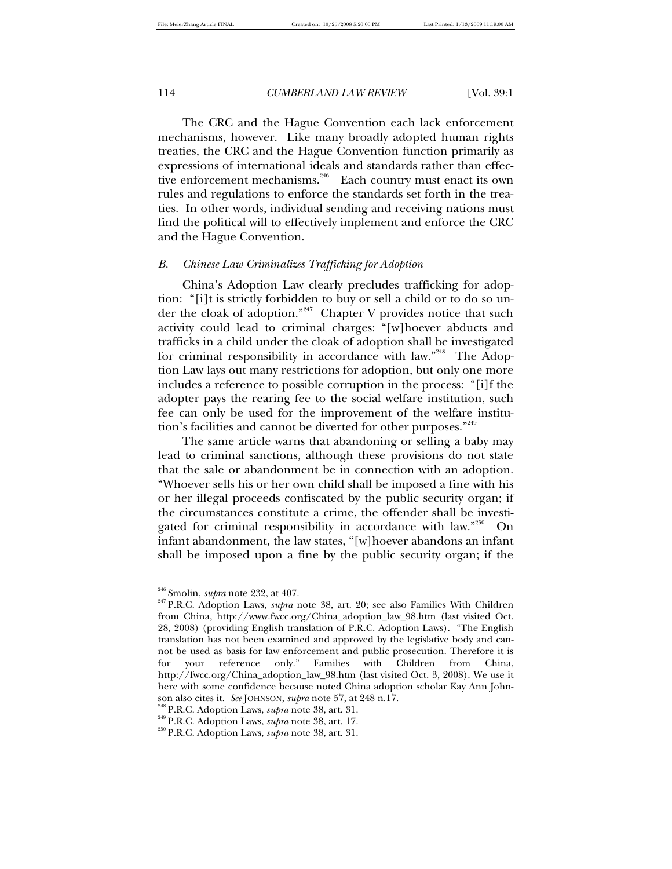The CRC and the Hague Convention each lack enforcement mechanisms, however. Like many broadly adopted human rights treaties, the CRC and the Hague Convention function primarily as expressions of international ideals and standards rather than effective enforcement mechanisms.<sup>246</sup> Each country must enact its own rules and regulations to enforce the standards set forth in the treaties. In other words, individual sending and receiving nations must find the political will to effectively implement and enforce the CRC and the Hague Convention.

# *B. Chinese Law Criminalizes Trafficking for Adoption*

China's Adoption Law clearly precludes trafficking for adoption: "[i]t is strictly forbidden to buy or sell a child or to do so under the cloak of adoption."<sup>247</sup> Chapter V provides notice that such activity could lead to criminal charges: "[w]hoever abducts and trafficks in a child under the cloak of adoption shall be investigated for criminal responsibility in accordance with law."<sup>248</sup> The Adoption Law lays out many restrictions for adoption, but only one more includes a reference to possible corruption in the process: "[i]f the adopter pays the rearing fee to the social welfare institution, such fee can only be used for the improvement of the welfare institution's facilities and cannot be diverted for other purposes."249

The same article warns that abandoning or selling a baby may lead to criminal sanctions, although these provisions do not state that the sale or abandonment be in connection with an adoption. "Whoever sells his or her own child shall be imposed a fine with his or her illegal proceeds confiscated by the public security organ; if the circumstances constitute a crime, the offender shall be investigated for criminal responsibility in accordance with law."<sup>250</sup> On infant abandonment, the law states, "[w]hoever abandons an infant shall be imposed upon a fine by the public security organ; if the

<sup>246</sup> Smolin, *supra* note 232, at 407.

<sup>247</sup> P.R.C. Adoption Laws, *supra* note 38, art. 20; see also Families With Children from China, http://www.fwcc.org/China\_adoption\_law\_98.htm (last visited Oct. 28, 2008) (providing English translation of P.R.C. Adoption Laws). "The English translation has not been examined and approved by the legislative body and cannot be used as basis for law enforcement and public prosecution. Therefore it is for your reference only." Families with Children from China, http://fwcc.org/China\_adoption\_law\_98.htm (last visited Oct. 3, 2008). We use it here with some confidence because noted China adoption scholar Kay Ann Johnson also cites it. *See* JOHNSON, *supra* note 57, at 248 n.17.

<sup>248</sup> P.R.C. Adoption Laws, *supra* note 38, art. 31.

<sup>249</sup> P.R.C. Adoption Laws, *supra* note 38, art. 17.

<sup>250</sup> P.R.C. Adoption Laws, *supra* note 38, art. 31.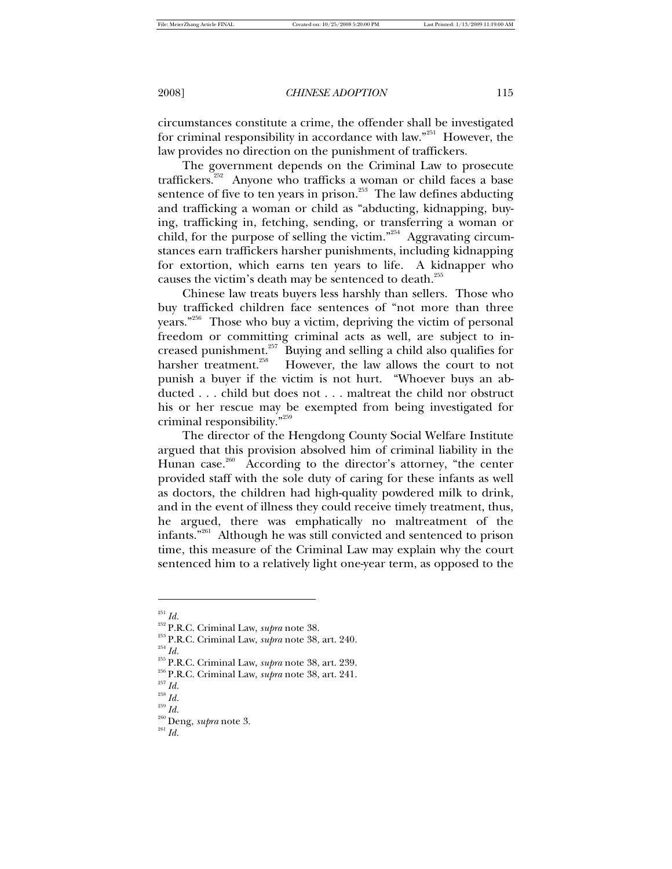circumstances constitute a crime, the offender shall be investigated for criminal responsibility in accordance with law."<sup>251</sup> However, the law provides no direction on the punishment of traffickers.

The government depends on the Criminal Law to prosecute traffickers.<sup>252</sup> Anyone who trafficks a woman or child faces a base sentence of five to ten years in prison.<sup>253</sup> The law defines abducting and trafficking a woman or child as "abducting, kidnapping, buying, trafficking in, fetching, sending, or transferring a woman or child, for the purpose of selling the victim."<sup>254</sup> Aggravating circumstances earn traffickers harsher punishments, including kidnapping for extortion, which earns ten years to life. A kidnapper who causes the victim's death may be sentenced to death. 255

Chinese law treats buyers less harshly than sellers. Those who buy trafficked children face sentences of "not more than three years."<sup>256</sup> Those who buy a victim, depriving the victim of personal freedom or committing criminal acts as well, are subject to increased punishment.<sup>257</sup> Buying and selling a child also qualifies for harsher treatment.<sup>258</sup> However, the law allows the court to not However, the law allows the court to not punish a buyer if the victim is not hurt. "Whoever buys an abducted . . . child but does not . . . maltreat the child nor obstruct his or her rescue may be exempted from being investigated for criminal responsibility."<sup>259</sup>

The director of the Hengdong County Social Welfare Institute argued that this provision absolved him of criminal liability in the Hunan case.<sup>260</sup> According to the director's attorney, "the center provided staff with the sole duty of caring for these infants as well as doctors, the children had high-quality powdered milk to drink, and in the event of illness they could receive timely treatment, thus, he argued, there was emphatically no maltreatment of the infants."<sup>261</sup> Although he was still convicted and sentenced to prison time, this measure of the Criminal Law may explain why the court sentenced him to a relatively light one-year term, as opposed to the

-

<sup>254</sup> *Id.*

 $^{258}$  *Id.* <sup>259</sup> *Id.*

 $^{251}$  *Id.* 

<sup>252</sup> P.R.C. Criminal Law, *supra* note 38.

<sup>253</sup> P.R.C. Criminal Law, *supra* note 38, art. 240.

<sup>255</sup> P.R.C. Criminal Law, *supra* note 38, art. 239.

<sup>256</sup> P.R.C. Criminal Law, *supra* note 38, art. 241.

<sup>257</sup> *Id.*

<sup>260</sup> Deng, *supra* note 3.

 $\real^{261}$   $Id.$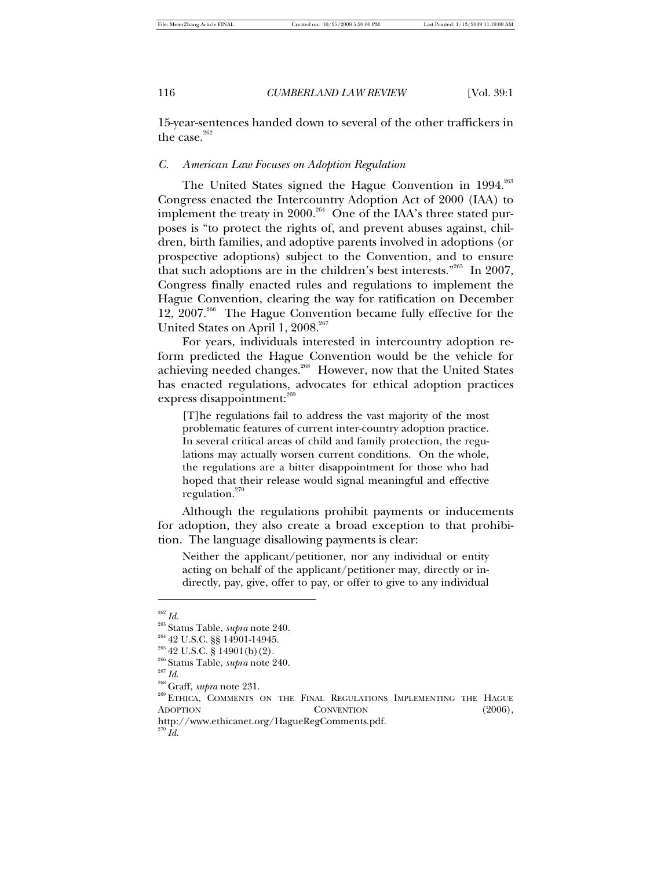15-year-sentences handed down to several of the other traffickers in the case. $262$ 

### *C. American Law Focuses on Adoption Regulation*

The United States signed the Hague Convention in 1994.<sup>263</sup> Congress enacted the Intercountry Adoption Act of 2000 (IAA) to implement the treaty in 2000.<sup>264</sup> One of the IAA's three stated purposes is "to protect the rights of, and prevent abuses against, children, birth families, and adoptive parents involved in adoptions (or prospective adoptions) subject to the Convention, and to ensure that such adoptions are in the children's best interests."<sup>265</sup> In 2007, Congress finally enacted rules and regulations to implement the Hague Convention, clearing the way for ratification on December 12, 2007.<sup>266</sup> The Hague Convention became fully effective for the United States on April 1, 2008.<sup>267</sup>

For years, individuals interested in intercountry adoption reform predicted the Hague Convention would be the vehicle for achieving needed changes.<sup>268</sup> However, now that the United States has enacted regulations, advocates for ethical adoption practices express disappointment:<sup>269</sup>

[T]he regulations fail to address the vast majority of the most problematic features of current inter-country adoption practice. In several critical areas of child and family protection, the regulations may actually worsen current conditions. On the whole, the regulations are a bitter disappointment for those who had hoped that their release would signal meaningful and effective regulation.<sup>270</sup>

Although the regulations prohibit payments or inducements for adoption, they also create a broad exception to that prohibition. The language disallowing payments is clear:

Neither the applicant/petitioner, nor any individual or entity acting on behalf of the applicant/petitioner may, directly or indirectly, pay, give, offer to pay, or offer to give to any individual

<sup>262</sup> *Id.*

<sup>263</sup> Status Table, *supra* note 240.

<sup>264</sup> 42 U.S.C. §§ 14901-14945.

 $2^{65}$  42 U.S.C. § 14901(b)(2).

<sup>266</sup> Status Table, *supra* note 240.

 $\real^{267}$   $Id.$ 

<sup>268</sup> Graff, *supra* note 231.

<sup>&</sup>lt;sup>269</sup> ETHICA, COMMENTS ON THE FINAL REGULATIONS IMPLEMENTING THE HAGUE ADOPTION CONVENTION (2006), http://www.ethicanet.org/HagueRegComments.pdf.

<sup>270</sup> *Id*.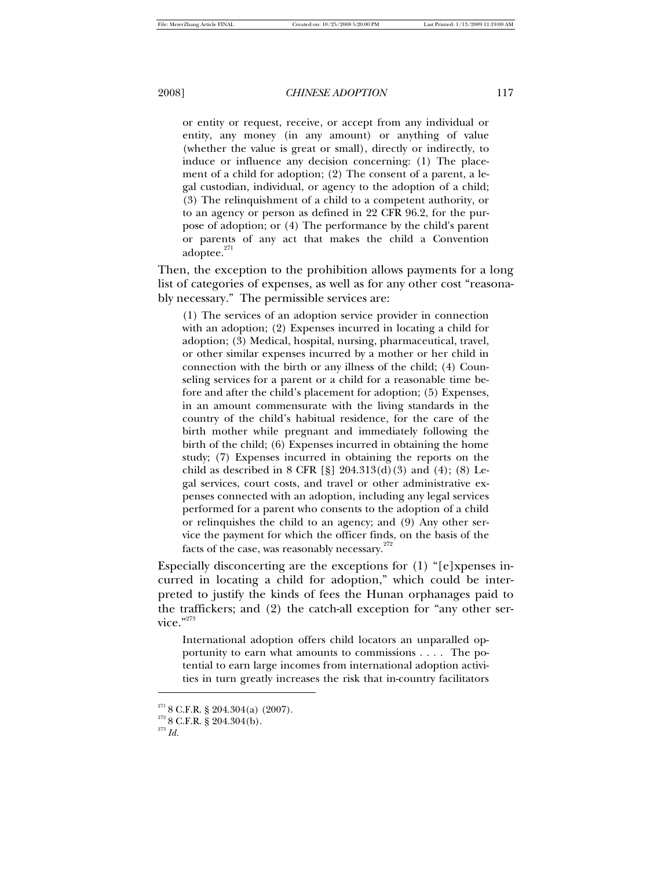or entity or request, receive, or accept from any individual or entity, any money (in any amount) or anything of value (whether the value is great or small), directly or indirectly, to induce or influence any decision concerning: (1) The placement of a child for adoption; (2) The consent of a parent, a legal custodian, individual, or agency to the adoption of a child; (3) The relinquishment of a child to a competent authority, or to an agency or person as defined in 22 CFR 96.2, for the purpose of adoption; or (4) The performance by the child's parent or parents of any act that makes the child a Convention adoptee. $271$ 

Then, the exception to the prohibition allows payments for a long list of categories of expenses, as well as for any other cost "reasonably necessary." The permissible services are:

(1) The services of an adoption service provider in connection with an adoption; (2) Expenses incurred in locating a child for adoption; (3) Medical, hospital, nursing, pharmaceutical, travel, or other similar expenses incurred by a mother or her child in connection with the birth or any illness of the child; (4) Counseling services for a parent or a child for a reasonable time before and after the child's placement for adoption; (5) Expenses, in an amount commensurate with the living standards in the country of the child's habitual residence, for the care of the birth mother while pregnant and immediately following the birth of the child; (6) Expenses incurred in obtaining the home study; (7) Expenses incurred in obtaining the reports on the child as described in 8 CFR [§]  $204.313(d)(3)$  and (4); (8) Legal services, court costs, and travel or other administrative expenses connected with an adoption, including any legal services performed for a parent who consents to the adoption of a child or relinquishes the child to an agency; and (9) Any other service the payment for which the officer finds, on the basis of the facts of the case, was reasonably necessary. $272$ 

Especially disconcerting are the exceptions for (1) "[e]xpenses incurred in locating a child for adoption," which could be interpreted to justify the kinds of fees the Hunan orphanages paid to the traffickers; and (2) the catch-all exception for "any other service." $273$ 

International adoption offers child locators an unparalled opportunity to earn what amounts to commissions . . . . The potential to earn large incomes from international adoption activities in turn greatly increases the risk that in-country facilitators

 $2718$  C.F.R. § 204.304(a) (2007).

 $272$  8 C.F.R. § 204.304(b).

<sup>273</sup> *Id.*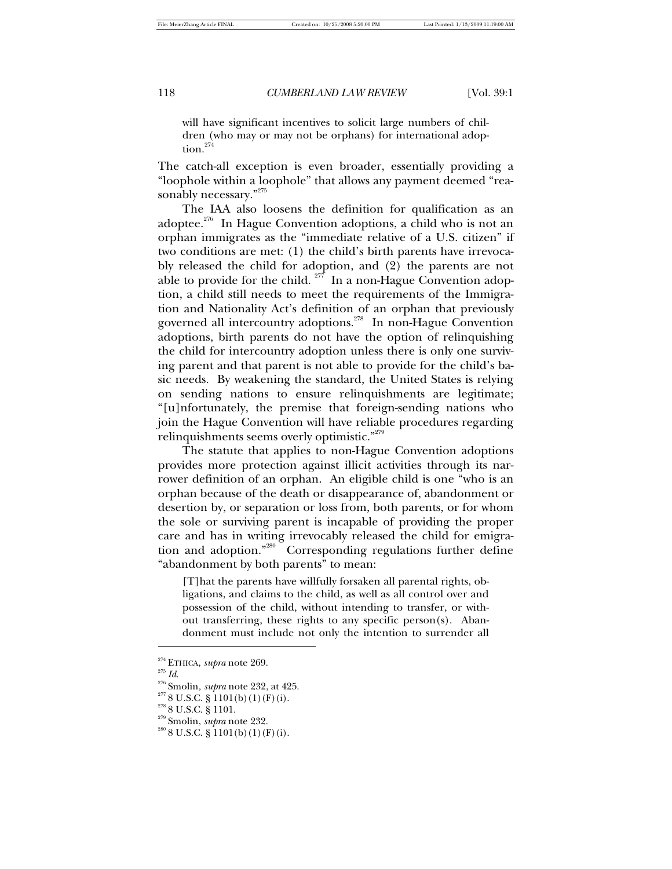will have significant incentives to solicit large numbers of children (who may or may not be orphans) for international adoption.<sup>274</sup>

The catch-all exception is even broader, essentially providing a "loophole within a loophole" that allows any payment deemed "reasonably necessary."<sup>275</sup>

The IAA also loosens the definition for qualification as an adoptee.<sup>276</sup> In Hague Convention adoptions, a child who is not an orphan immigrates as the "immediate relative of a U.S. citizen" if two conditions are met: (1) the child's birth parents have irrevocably released the child for adoption, and (2) the parents are not able to provide for the child.  $277$  In a non-Hague Convention adoption, a child still needs to meet the requirements of the Immigration and Nationality Act's definition of an orphan that previously governed all intercountry adoptions.<sup>278</sup> In non-Hague Convention adoptions, birth parents do not have the option of relinquishing the child for intercountry adoption unless there is only one surviving parent and that parent is not able to provide for the child's basic needs. By weakening the standard, the United States is relying on sending nations to ensure relinquishments are legitimate; "[u]nfortunately, the premise that foreign-sending nations who join the Hague Convention will have reliable procedures regarding relinquishments seems overly optimistic."<sup>279</sup>

The statute that applies to non-Hague Convention adoptions provides more protection against illicit activities through its narrower definition of an orphan. An eligible child is one "who is an orphan because of the death or disappearance of, abandonment or desertion by, or separation or loss from, both parents, or for whom the sole or surviving parent is incapable of providing the proper care and has in writing irrevocably released the child for emigration and adoption."<sup>280</sup> Corresponding regulations further define "abandonment by both parents" to mean:

[T]hat the parents have willfully forsaken all parental rights, obligations, and claims to the child, as well as all control over and possession of the child, without intending to transfer, or without transferring, these rights to any specific person(s). Abandonment must include not only the intention to surrender all

<sup>274</sup> ETHICA, *supra* note 269.

 $\real^{275}$   $Id.$ 

<sup>276</sup> Smolin*, supra* note 232, at 425.

 $2778$  U.S.C. § 1101(b)(1)(F)(i).

 $278$  8 U.S.C. § 1101.

<sup>279</sup> Smolin, *supra* note 232.

 $280$  8 U.S.C. § 1101(b)(1)(F)(i).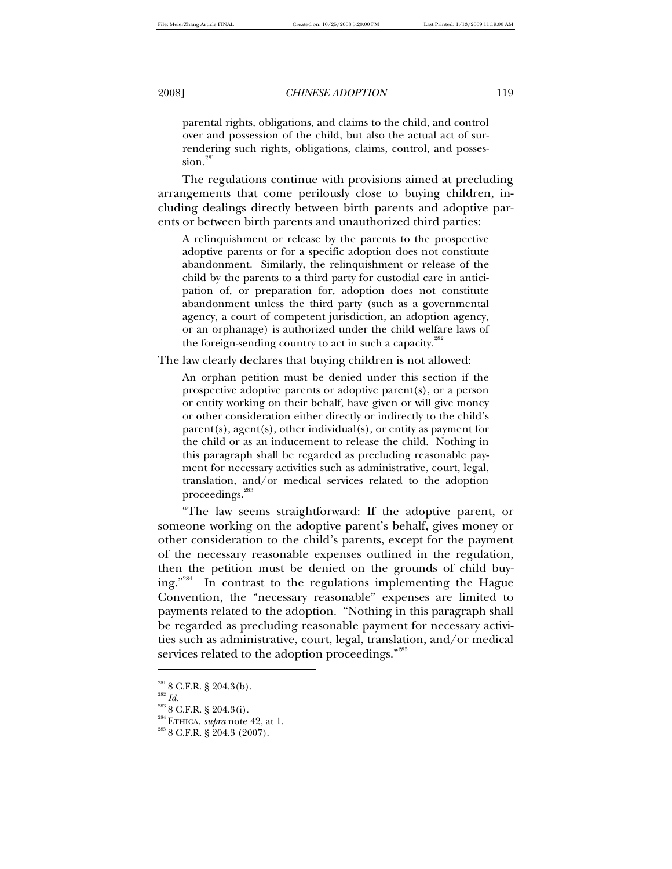parental rights, obligations, and claims to the child, and control over and possession of the child, but also the actual act of surrendering such rights, obligations, claims, control, and posses $sion.<sup>281</sup>$ 

The regulations continue with provisions aimed at precluding arrangements that come perilously close to buying children, including dealings directly between birth parents and adoptive parents or between birth parents and unauthorized third parties:

A relinquishment or release by the parents to the prospective adoptive parents or for a specific adoption does not constitute abandonment. Similarly, the relinquishment or release of the child by the parents to a third party for custodial care in anticipation of, or preparation for, adoption does not constitute abandonment unless the third party (such as a governmental agency, a court of competent jurisdiction, an adoption agency, or an orphanage) is authorized under the child welfare laws of the foreign-sending country to act in such a capacity. $^{282}$ 

The law clearly declares that buying children is not allowed:

An orphan petition must be denied under this section if the prospective adoptive parents or adoptive parent(s), or a person or entity working on their behalf, have given or will give money or other consideration either directly or indirectly to the child's parent(s), agent(s), other individual(s), or entity as payment for the child or as an inducement to release the child. Nothing in this paragraph shall be regarded as precluding reasonable payment for necessary activities such as administrative, court, legal, translation, and/or medical services related to the adoption proceedings.<sup>283</sup>

"The law seems straightforward: If the adoptive parent, or someone working on the adoptive parent's behalf, gives money or other consideration to the child's parents, except for the payment of the necessary reasonable expenses outlined in the regulation, then the petition must be denied on the grounds of child buying."<sup>284</sup> In contrast to the regulations implementing the Hague Convention, the "necessary reasonable" expenses are limited to payments related to the adoption. "Nothing in this paragraph shall be regarded as precluding reasonable payment for necessary activities such as administrative, court, legal, translation, and/or medical services related to the adoption proceedings."285

 $\real^{282}$   $Id.$ 

1

 $281$  8 C.F.R. § 204.3(b).

 $288$  8 C.F.R. § 204.3(i).

<sup>284</sup> ETHICA, *supra* note 42, at 1.

 $285$  8 C.F.R. § 204.3 (2007).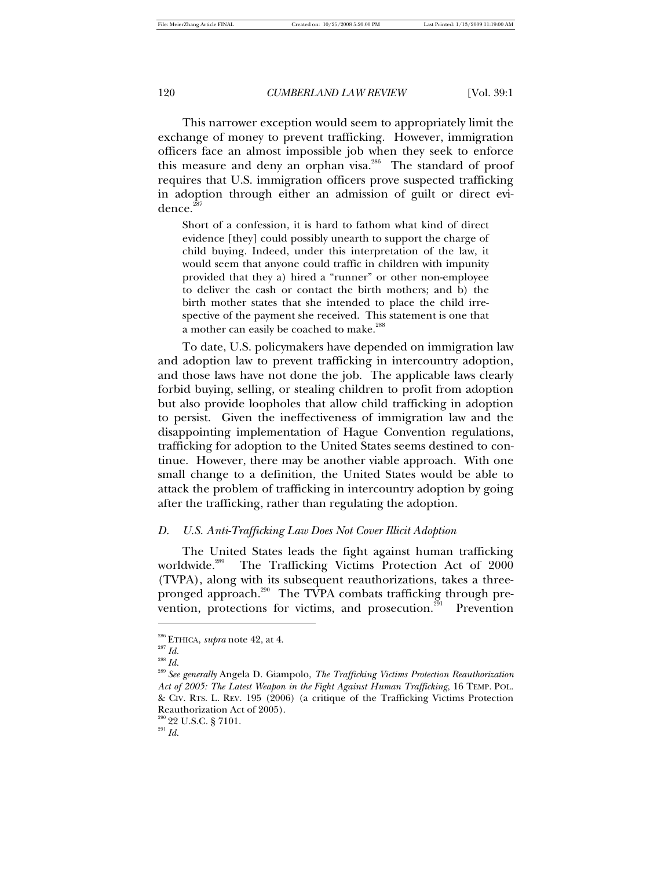This narrower exception would seem to appropriately limit the exchange of money to prevent trafficking. However, immigration officers face an almost impossible job when they seek to enforce this measure and deny an orphan visa.<sup>286</sup> The standard of proof requires that U.S. immigration officers prove suspected trafficking in adoption through either an admission of guilt or direct evidence.<sup>2</sup>

Short of a confession, it is hard to fathom what kind of direct evidence [they] could possibly unearth to support the charge of child buying. Indeed, under this interpretation of the law, it would seem that anyone could traffic in children with impunity provided that they a) hired a "runner" or other non-employee to deliver the cash or contact the birth mothers; and b) the birth mother states that she intended to place the child irrespective of the payment she received. This statement is one that a mother can easily be coached to make.<sup>288</sup>

To date, U.S. policymakers have depended on immigration law and adoption law to prevent trafficking in intercountry adoption, and those laws have not done the job. The applicable laws clearly forbid buying, selling, or stealing children to profit from adoption but also provide loopholes that allow child trafficking in adoption to persist. Given the ineffectiveness of immigration law and the disappointing implementation of Hague Convention regulations, trafficking for adoption to the United States seems destined to continue. However, there may be another viable approach. With one small change to a definition, the United States would be able to attack the problem of trafficking in intercountry adoption by going after the trafficking, rather than regulating the adoption.

### *D. U.S. Anti-Trafficking Law Does Not Cover Illicit Adoption*

The United States leads the fight against human trafficking worldwide.<sup>289</sup> The Trafficking Victims Protection Act of 2000 (TVPA), along with its subsequent reauthorizations, takes a threepronged approach.<sup>290</sup> The TVPA combats trafficking through prevention, protections for victims, and prosecution.<sup>291</sup> Prevention

<sup>286</sup> ETHICA, *supra* note 42, at 4.

<sup>287</sup> *Id.*

<sup>288</sup> *Id.* 

<sup>289</sup> *See generally* Angela D. Giampolo, *The Trafficking Victims Protection Reauthorization Act of 2005: The Latest Weapon in the Fight Against Human Trafficking*, 16 TEMP. POL. & CIV. RTS. L. REV. 195 (2006) (a critique of the Trafficking Victims Protection Reauthorization Act of 2005).

 $290$  22 U.S.C. § 7101.

 $\real^{291}$   $Id.$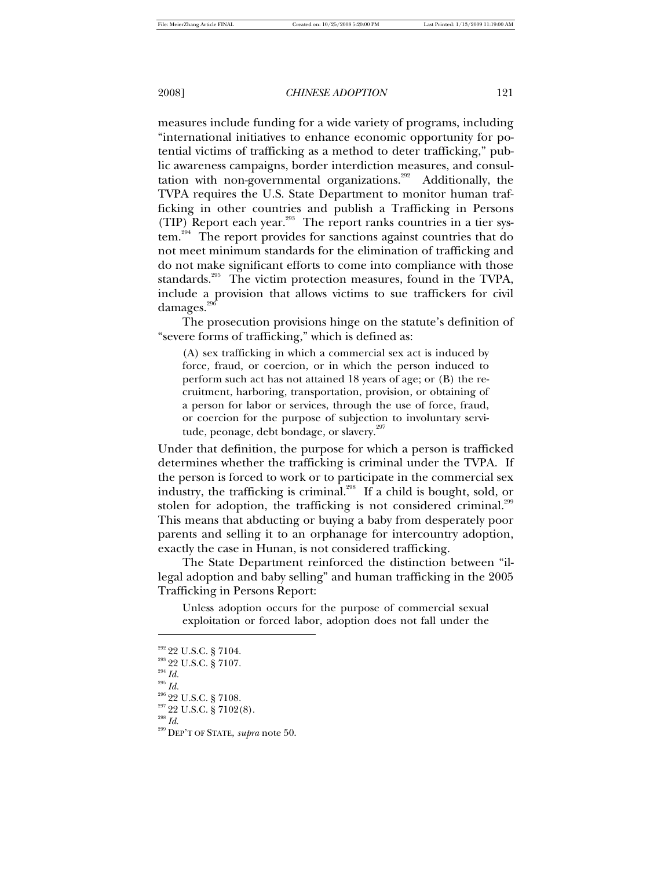measures include funding for a wide variety of programs, including "international initiatives to enhance economic opportunity for potential victims of trafficking as a method to deter trafficking," public awareness campaigns, border interdiction measures, and consultation with non-governmental organizations.<sup>292</sup> Additionally, the TVPA requires the U.S. State Department to monitor human trafficking in other countries and publish a Trafficking in Persons (TIP) Report each year. $293$  The report ranks countries in a tier system.<sup>294</sup> The report provides for sanctions against countries that do not meet minimum standards for the elimination of trafficking and do not make significant efforts to come into compliance with those standards.<sup>295</sup> The victim protection measures, found in the TVPA, include a provision that allows victims to sue traffickers for civil damages.<sup>296</sup>

The prosecution provisions hinge on the statute's definition of "severe forms of trafficking," which is defined as:

(A) sex trafficking in which a commercial sex act is induced by force, fraud, or coercion, or in which the person induced to perform such act has not attained 18 years of age; or (B) the recruitment, harboring, transportation, provision, or obtaining of a person for labor or services, through the use of force, fraud, or coercion for the purpose of subjection to involuntary servitude, peonage, debt bondage, or slavery. $297$ 

Under that definition, the purpose for which a person is trafficked determines whether the trafficking is criminal under the TVPA. If the person is forced to work or to participate in the commercial sex industry, the trafficking is criminal.<sup>298</sup> If a child is bought, sold, or stolen for adoption, the trafficking is not considered criminal.<sup>299</sup> This means that abducting or buying a baby from desperately poor parents and selling it to an orphanage for intercountry adoption, exactly the case in Hunan, is not considered trafficking.

The State Department reinforced the distinction between "illegal adoption and baby selling" and human trafficking in the 2005 Trafficking in Persons Report:

Unless adoption occurs for the purpose of commercial sexual exploitation or forced labor, adoption does not fall under the

<sup>294</sup> *Id.*

<sup>&</sup>lt;sup>292</sup> 22 U.S.C. § 7104.

<sup>&</sup>lt;sup>293</sup> 22 U.S.C. § 7107.

<sup>295</sup> *Id.*

<sup>296</sup> 22 U.S.C. § 7108.

 $^{297}$  22 U.S.C. § 7102(8).

<sup>298</sup> *Id*.

<sup>299</sup> DEP'T OF STATE, *supra* note 50.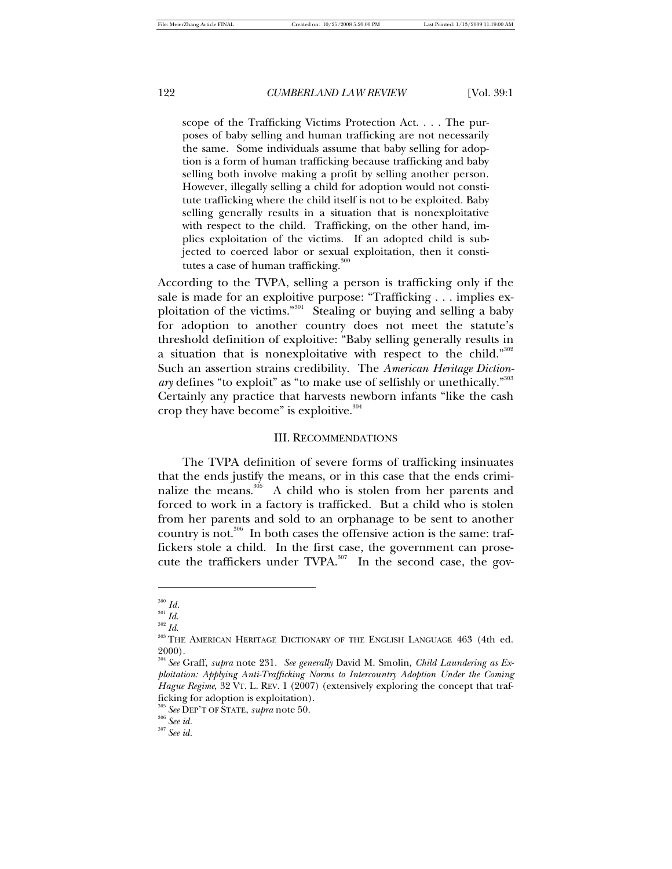scope of the Trafficking Victims Protection Act. . . . The purposes of baby selling and human trafficking are not necessarily the same. Some individuals assume that baby selling for adoption is a form of human trafficking because trafficking and baby selling both involve making a profit by selling another person. However, illegally selling a child for adoption would not constitute trafficking where the child itself is not to be exploited. Baby selling generally results in a situation that is nonexploitative with respect to the child. Trafficking, on the other hand, implies exploitation of the victims. If an adopted child is subjected to coerced labor or sexual exploitation, then it constitutes a case of human trafficking. $300$ 

According to the TVPA, selling a person is trafficking only if the sale is made for an exploitive purpose: "Trafficking . . . implies exploitation of the victims."<sup>301</sup> Stealing or buying and selling a baby for adoption to another country does not meet the statute's threshold definition of exploitive: "Baby selling generally results in a situation that is nonexploitative with respect to the child."  $302$ Such an assertion strains credibility. The *American Heritage Diction*ary defines "to exploit" as "to make use of selfishly or unethically."<sup>303</sup> Certainly any practice that harvests newborn infants "like the cash crop they have become" is exploitive. $304$ 

### III. RECOMMENDATIONS

The TVPA definition of severe forms of trafficking insinuates that the ends justify the means, or in this case that the ends criminalize the means.<sup>305</sup> A child who is stolen from her parents and forced to work in a factory is trafficked. But a child who is stolen from her parents and sold to an orphanage to be sent to another country is not.<sup>306</sup> In both cases the offensive action is the same: traffickers stole a child. In the first case, the government can prosecute the traffickers under TVPA.<sup>307</sup> In the second case, the gov-

<sup>300</sup> *Id.*

 $\real^{301}$   $Id.$ 

<sup>302</sup> *Id*.

<sup>&</sup>lt;sup>303</sup> THE AMERICAN HERITAGE DICTIONARY OF THE ENGLISH LANGUAGE 463 (4th ed. 2000).

<sup>304</sup> *See* Graff, *supra* note 231. *See generally* David M. Smolin, *Child Laundering as Exploitation: Applying Anti-Trafficking Norms to Intercountry Adoption Under the Coming Hague Regime*, 32 VT. L. REV. 1 (2007) (extensively exploring the concept that trafficking for adoption is exploitation).

<sup>305</sup> *See* DEP'T OF STATE, *supra* note 50.

<sup>306</sup> *See id.*

<sup>307</sup> *See id.*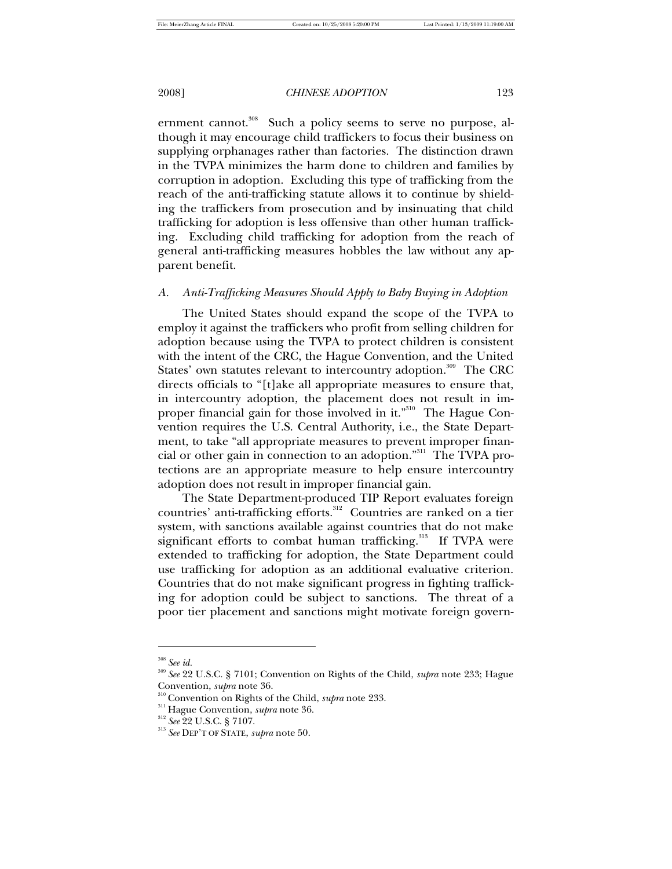ernment cannot.<sup>308</sup> Such a policy seems to serve no purpose, although it may encourage child traffickers to focus their business on supplying orphanages rather than factories. The distinction drawn in the TVPA minimizes the harm done to children and families by corruption in adoption. Excluding this type of trafficking from the reach of the anti-trafficking statute allows it to continue by shielding the traffickers from prosecution and by insinuating that child trafficking for adoption is less offensive than other human trafficking. Excluding child trafficking for adoption from the reach of general anti-trafficking measures hobbles the law without any apparent benefit.

# *A. Anti-Trafficking Measures Should Apply to Baby Buying in Adoption*

The United States should expand the scope of the TVPA to employ it against the traffickers who profit from selling children for adoption because using the TVPA to protect children is consistent with the intent of the CRC, the Hague Convention, and the United States' own statutes relevant to intercountry adoption.<sup>309</sup> The CRC directs officials to "[t]ake all appropriate measures to ensure that, in intercountry adoption, the placement does not result in improper financial gain for those involved in it."<sup>310</sup> The Hague Convention requires the U.S. Central Authority, i.e., the State Department, to take "all appropriate measures to prevent improper financial or other gain in connection to an adoption."<sup>311</sup> The TVPA protections are an appropriate measure to help ensure intercountry adoption does not result in improper financial gain.

The State Department-produced TIP Report evaluates foreign countries' anti-trafficking efforts.<sup>312</sup> Countries are ranked on a tier system, with sanctions available against countries that do not make significant efforts to combat human trafficking.<sup>313</sup> If TVPA were extended to trafficking for adoption, the State Department could use trafficking for adoption as an additional evaluative criterion. Countries that do not make significant progress in fighting trafficking for adoption could be subject to sanctions. The threat of a poor tier placement and sanctions might motivate foreign govern-

<sup>308</sup> *See id.*

<sup>309</sup> *See* 22 U.S.C. § 7101; Convention on Rights of the Child, *supra* note 233; Hague Convention, *supra* note 36.

<sup>310</sup> Convention on Rights of the Child, *supra* note 233.

<sup>311</sup> Hague Convention, *supra* note 36.

<sup>312</sup> *See* 22 U.S.C. § 7107.

<sup>313</sup> *See* DEP'T OF STATE, *supra* note 50.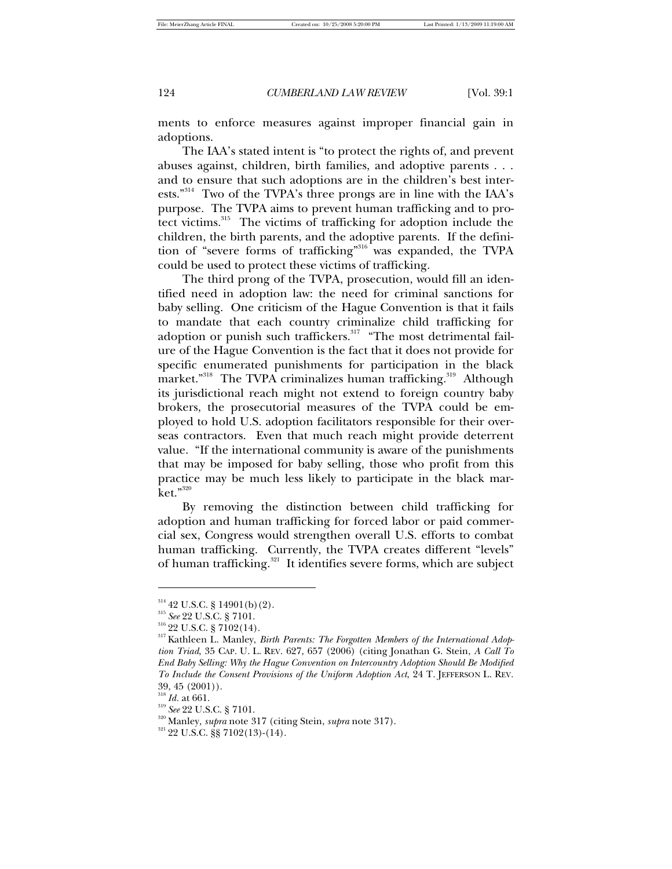ments to enforce measures against improper financial gain in adoptions.

The IAA's stated intent is "to protect the rights of, and prevent abuses against, children, birth families, and adoptive parents . . . and to ensure that such adoptions are in the children's best interests."<sup>314</sup> Two of the TVPA's three prongs are in line with the IAA's purpose. The TVPA aims to prevent human trafficking and to protect victims.<sup>315</sup> The victims of trafficking for adoption include the children, the birth parents, and the adoptive parents. If the definition of "severe forms of trafficking"<sup>316</sup> was expanded, the TVPA could be used to protect these victims of trafficking.

The third prong of the TVPA, prosecution, would fill an identified need in adoption law: the need for criminal sanctions for baby selling. One criticism of the Hague Convention is that it fails to mandate that each country criminalize child trafficking for adoption or punish such traffickers.<sup>317</sup> "The most detrimental failure of the Hague Convention is the fact that it does not provide for specific enumerated punishments for participation in the black market."<sup>318</sup> The TVPA criminalizes human trafficking.<sup>319</sup> Although its jurisdictional reach might not extend to foreign country baby brokers, the prosecutorial measures of the TVPA could be employed to hold U.S. adoption facilitators responsible for their overseas contractors. Even that much reach might provide deterrent value. "If the international community is aware of the punishments that may be imposed for baby selling, those who profit from this practice may be much less likely to participate in the black market."<sup>320</sup>

By removing the distinction between child trafficking for adoption and human trafficking for forced labor or paid commercial sex, Congress would strengthen overall U.S. efforts to combat human trafficking. Currently, the TVPA creates different "levels" of human trafficking.<sup>321</sup> It identifies severe forms, which are subject

 $^{314}$  42 U.S.C. § 14901(b)(2).

<sup>315</sup> *See* 22 U.S.C. § 7101.

 ${\rm ^{316}}$  22 U.S.C. § 7102(14).

<sup>317</sup> Kathleen L. Manley, *Birth Parents: The Forgotten Members of the International Adoption Triad*, 35 CAP. U. L. REV. 627, 657 (2006) (citing Jonathan G. Stein, *A Call To End Baby Selling: Why the Hague Convention on Intercountry Adoption Should Be Modified To Include the Consent Provisions of the Uniform Adoption Act*, 24 T. JEFFERSON L. REV. 39, 45 (2001)).

<sup>318</sup> *Id.* at 661.

<sup>319</sup> *See* 22 U.S.C. § 7101.

<sup>320</sup> Manley*, supra* note 317 (citing Stein, *supra* note 317).

<sup>321</sup> 22 U.S.C. §§ 7102(13)-(14).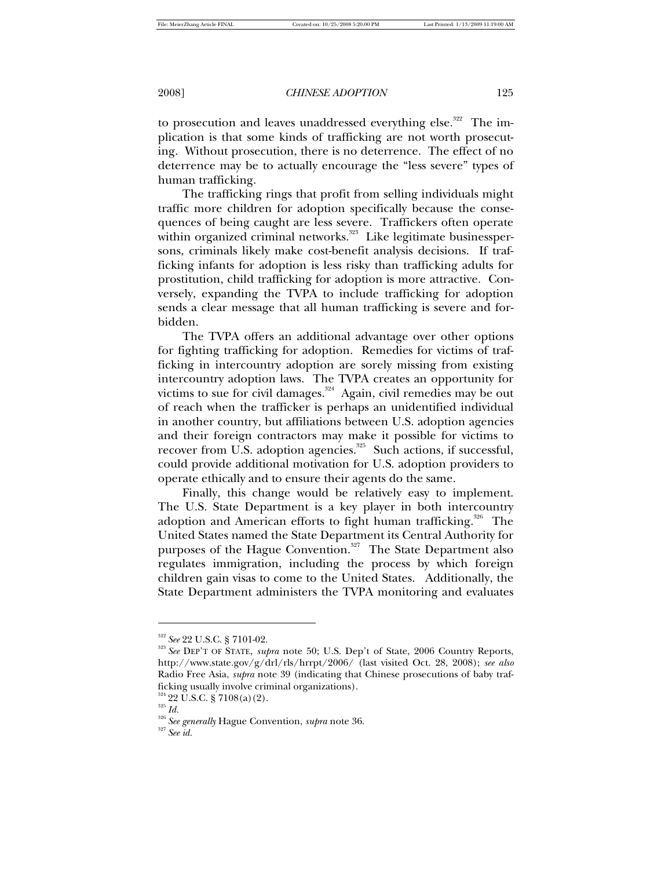to prosecution and leaves unaddressed everything else.<sup>322</sup> The implication is that some kinds of trafficking are not worth prosecuting. Without prosecution, there is no deterrence. The effect of no deterrence may be to actually encourage the "less severe" types of human trafficking.

The trafficking rings that profit from selling individuals might traffic more children for adoption specifically because the consequences of being caught are less severe. Traffickers often operate within organized criminal networks.<sup>323</sup> Like legitimate businesspersons, criminals likely make cost-benefit analysis decisions. If trafficking infants for adoption is less risky than trafficking adults for prostitution, child trafficking for adoption is more attractive. Conversely, expanding the TVPA to include trafficking for adoption sends a clear message that all human trafficking is severe and forbidden.

The TVPA offers an additional advantage over other options for fighting trafficking for adoption. Remedies for victims of trafficking in intercountry adoption are sorely missing from existing intercountry adoption laws. The TVPA creates an opportunity for victims to sue for civil damages.<sup>324</sup> Again, civil remedies may be out of reach when the trafficker is perhaps an unidentified individual in another country, but affiliations between U.S. adoption agencies and their foreign contractors may make it possible for victims to recover from U.S. adoption agencies.<sup>325</sup> Such actions, if successful, could provide additional motivation for U.S. adoption providers to operate ethically and to ensure their agents do the same.

Finally, this change would be relatively easy to implement. The U.S. State Department is a key player in both intercountry adoption and American efforts to fight human trafficking.<sup>326</sup> The United States named the State Department its Central Authority for purposes of the Hague Convention.<sup>327</sup> The State Department also regulates immigration, including the process by which foreign children gain visas to come to the United States. Additionally, the State Department administers the TVPA monitoring and evaluates

1

<sup>327</sup> *See id.* 

<sup>322</sup> *See* 22 U.S.C. § 7101-02.

<sup>323</sup> *See* DEP'T OF STATE, *supra* note 50; U.S. Dep't of State, 2006 Country Reports, http://www.state.gov/g/drl/rls/hrrpt/2006/ (last visited Oct. 28, 2008); *see also*  Radio Free Asia, *supra* note 39 (indicating that Chinese prosecutions of baby trafficking usually involve criminal organizations).

 $324$  22 U.S.C. § 7108(a)(2).

 $^{325}\,Id.$ 

<sup>326</sup> *See generally* Hague Convention, *supra* note 36.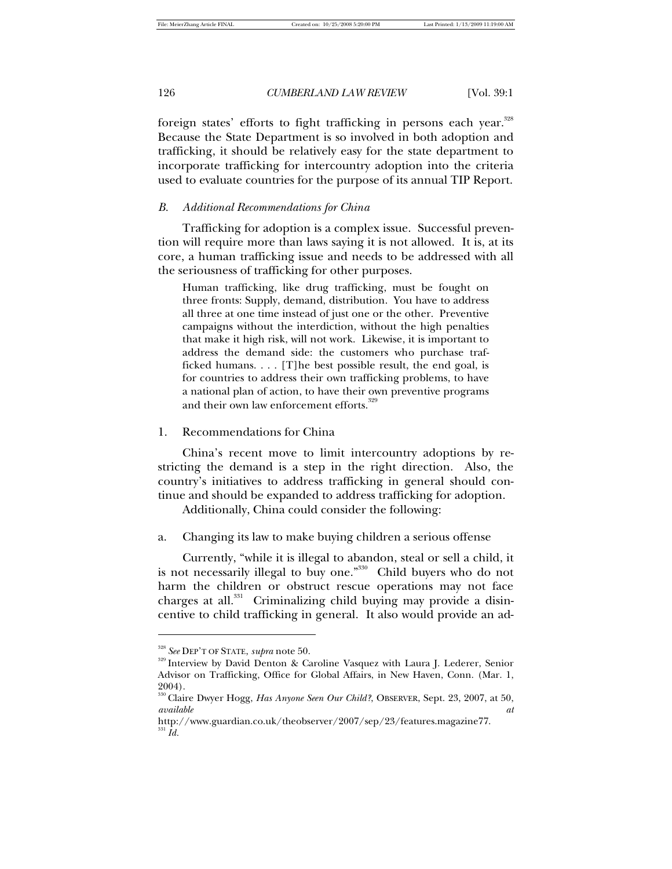foreign states' efforts to fight trafficking in persons each year.<sup>328</sup> Because the State Department is so involved in both adoption and trafficking, it should be relatively easy for the state department to incorporate trafficking for intercountry adoption into the criteria used to evaluate countries for the purpose of its annual TIP Report.

### *B. Additional Recommendations for China*

Trafficking for adoption is a complex issue. Successful prevention will require more than laws saying it is not allowed. It is, at its core, a human trafficking issue and needs to be addressed with all the seriousness of trafficking for other purposes.

Human trafficking, like drug trafficking, must be fought on three fronts: Supply, demand, distribution. You have to address all three at one time instead of just one or the other. Preventive campaigns without the interdiction, without the high penalties that make it high risk, will not work. Likewise, it is important to address the demand side: the customers who purchase trafficked humans. . . . [T]he best possible result, the end goal, is for countries to address their own trafficking problems, to have a national plan of action, to have their own preventive programs and their own law enforcement efforts.<sup>329</sup>

### 1. Recommendations for China

China's recent move to limit intercountry adoptions by restricting the demand is a step in the right direction. Also, the country's initiatives to address trafficking in general should continue and should be expanded to address trafficking for adoption.

Additionally, China could consider the following:

a. Changing its law to make buying children a serious offense

Currently, "while it is illegal to abandon, steal or sell a child, it is not necessarily illegal to buy one."<sup>330</sup> Child buyers who do not harm the children or obstruct rescue operations may not face charges at all. $331$  Criminalizing child buying may provide a disincentive to child trafficking in general. It also would provide an ad-

<sup>328</sup> *See* DEP'T OF STATE, *supra* note 50.

<sup>329</sup> Interview by David Denton & Caroline Vasquez with Laura J. Lederer, Senior Advisor on Trafficking, Office for Global Affairs, in New Haven, Conn. (Mar. 1, 2004).

<sup>330</sup> Claire Dwyer Hogg, *Has Anyone Seen Our Child?*, OBSERVER, Sept. 23, 2007, at 50, *available at*

http://www.guardian.co.uk/theobserver/2007/sep/23/features.magazine77.  $^{331}$   $\hat{Id}.$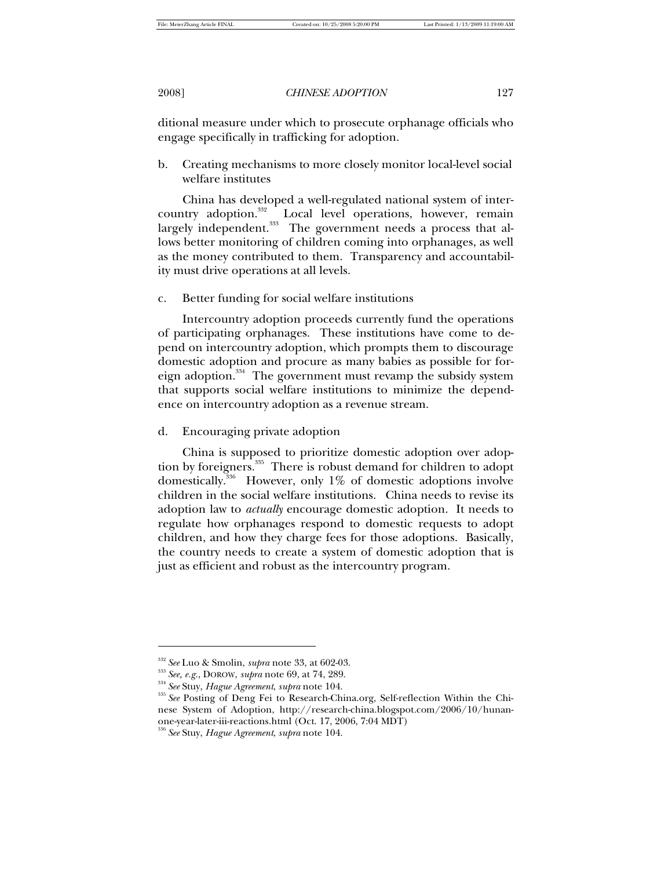ditional measure under which to prosecute orphanage officials who engage specifically in trafficking for adoption.

b. Creating mechanisms to more closely monitor local-level social welfare institutes

China has developed a well-regulated national system of intercountry adoption.<sup>332</sup> Local level operations, however, remain largely independent.<sup>333</sup> The government needs a process that allows better monitoring of children coming into orphanages, as well as the money contributed to them. Transparency and accountability must drive operations at all levels.

### c. Better funding for social welfare institutions

Intercountry adoption proceeds currently fund the operations of participating orphanages. These institutions have come to depend on intercountry adoption, which prompts them to discourage domestic adoption and procure as many babies as possible for foreign adoption.<sup>334</sup> The government must revamp the subsidy system that supports social welfare institutions to minimize the dependence on intercountry adoption as a revenue stream.

d. Encouraging private adoption

China is supposed to prioritize domestic adoption over adoption by foreigners.<sup>335</sup> There is robust demand for children to adopt domestically.<sup>336</sup> However, only 1% of domestic adoptions involve children in the social welfare institutions. China needs to revise its adoption law to *actually* encourage domestic adoption. It needs to regulate how orphanages respond to domestic requests to adopt children, and how they charge fees for those adoptions. Basically, the country needs to create a system of domestic adoption that is just as efficient and robust as the intercountry program.

<sup>332</sup> *See* Luo & Smolin, *supra* note 33, at 602-03.

<sup>333</sup> *See, e.g.*, DOROW, *supra* note 69, at 74, 289.

<sup>334</sup> *See* Stuy, *Hague Agreement*, *supra* note 104.

<sup>335</sup> *See* Posting of Deng Fei to Research-China.org, Self-reflection Within the Chinese System of Adoption, http://research-china.blogspot.com/2006/10/hunanone-year-later-iii-reactions.html (Oct. 17, 2006, 7:04 MDT)

<sup>336</sup> *See* Stuy, *Hague Agreement*, *supra* note 104.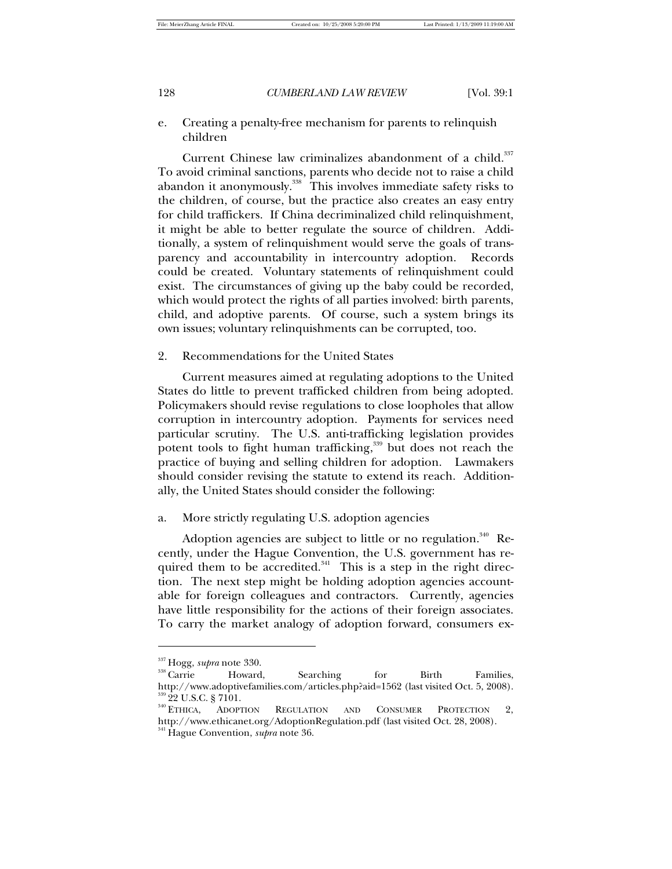e. Creating a penalty-free mechanism for parents to relinquish children

Current Chinese law criminalizes abandonment of a child.<sup>337</sup> To avoid criminal sanctions, parents who decide not to raise a child abandon it anonymously.<sup>338</sup> This involves immediate safety risks to the children, of course, but the practice also creates an easy entry for child traffickers. If China decriminalized child relinquishment, it might be able to better regulate the source of children. Additionally, a system of relinquishment would serve the goals of transparency and accountability in intercountry adoption. Records could be created. Voluntary statements of relinquishment could exist. The circumstances of giving up the baby could be recorded, which would protect the rights of all parties involved: birth parents, child, and adoptive parents. Of course, such a system brings its own issues; voluntary relinquishments can be corrupted, too.

2. Recommendations for the United States

Current measures aimed at regulating adoptions to the United States do little to prevent trafficked children from being adopted. Policymakers should revise regulations to close loopholes that allow corruption in intercountry adoption. Payments for services need particular scrutiny. The U.S. anti-trafficking legislation provides potent tools to fight human trafficking,<sup>339</sup> but does not reach the practice of buying and selling children for adoption. Lawmakers should consider revising the statute to extend its reach. Additionally, the United States should consider the following:

a. More strictly regulating U.S. adoption agencies

Adoption agencies are subject to little or no regulation.<sup>340</sup> Recently, under the Hague Convention, the U.S. government has required them to be accredited. $341$  This is a step in the right direction. The next step might be holding adoption agencies accountable for foreign colleagues and contractors. Currently, agencies have little responsibility for the actions of their foreign associates. To carry the market analogy of adoption forward, consumers ex-

j

<sup>&</sup>lt;sup>337</sup> Hogg, *supra* note 330.<br><sup>338</sup> Carrie Howard

<sup>338</sup> Howard, Searching for Birth Families, http://www.adoptivefamilies.com/articles.php?aid=1562 (last visited Oct. 5, 2008).  $^{339}_{340}$  22 U.S.C. § 7101.<br> $^{340}$  Ethica, Adopt

ADOPTION REGULATION AND CONSUMER PROTECTION 2, http://www.ethicanet.org/AdoptionRegulation.pdf (last visited Oct. 28, 2008). <sup>341</sup> Hague Convention, *supra* note 36.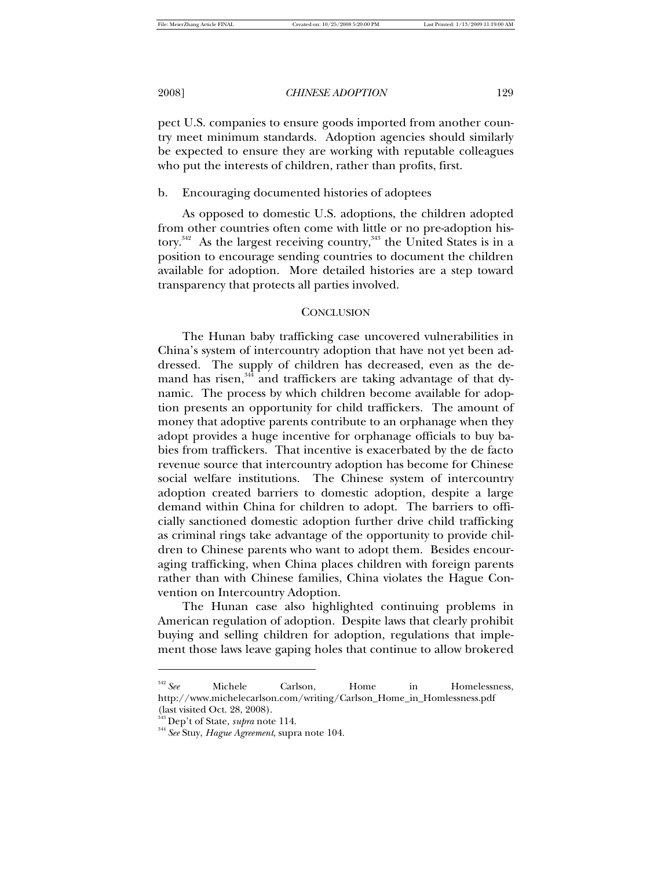pect U.S. companies to ensure goods imported from another country meet minimum standards. Adoption agencies should similarly be expected to ensure they are working with reputable colleagues who put the interests of children, rather than profits, first.

### b. Encouraging documented histories of adoptees

As opposed to domestic U.S. adoptions, the children adopted from other countries often come with little or no pre-adoption history.<sup>342</sup> As the largest receiving country,<sup>343</sup> the United States is in a position to encourage sending countries to document the children available for adoption. More detailed histories are a step toward transparency that protects all parties involved.

### **CONCLUSION**

The Hunan baby trafficking case uncovered vulnerabilities in China's system of intercountry adoption that have not yet been addressed. The supply of children has decreased, even as the demand has risen,<sup>344</sup> and traffickers are taking advantage of that dynamic. The process by which children become available for adoption presents an opportunity for child traffickers. The amount of money that adoptive parents contribute to an orphanage when they adopt provides a huge incentive for orphanage officials to buy babies from traffickers. That incentive is exacerbated by the de facto revenue source that intercountry adoption has become for Chinese social welfare institutions. The Chinese system of intercountry adoption created barriers to domestic adoption, despite a large demand within China for children to adopt. The barriers to officially sanctioned domestic adoption further drive child trafficking as criminal rings take advantage of the opportunity to provide children to Chinese parents who want to adopt them. Besides encouraging trafficking, when China places children with foreign parents rather than with Chinese families, China violates the Hague Convention on Intercountry Adoption.

The Hunan case also highlighted continuing problems in American regulation of adoption. Despite laws that clearly prohibit buying and selling children for adoption, regulations that implement those laws leave gaping holes that continue to allow brokered

<sup>342</sup> *See* Michele Carlson, Home in Homelessness, http://www.michelecarlson.com/writing/Carlson\_Home\_in\_Homlessness.pdf (last visited Oct. 28, 2008).

<sup>343</sup> Dep't of State, *supra* note 114.

<sup>344</sup> *See* Stuy, *Hague Agreement*, supra note 104.